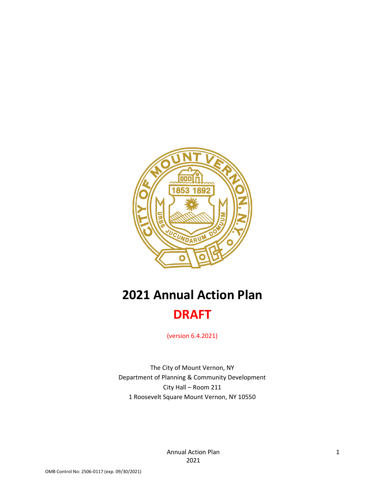

# **2021 Annual Action Plan DRAFT**

(version 6.4.2021)

The City of Mount Vernon, NY Department of Planning & Community Development City Hall – Room 211 1 Roosevelt Square Mount Vernon, NY 10550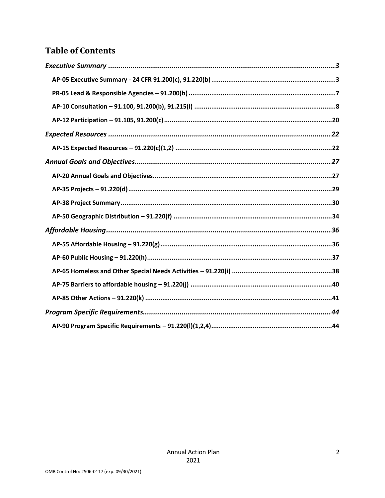# **Table of Contents**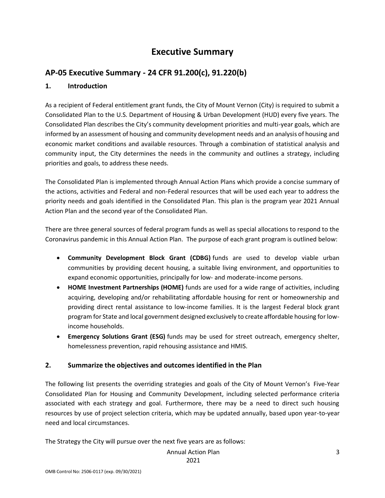# **Executive Summary**

### <span id="page-2-1"></span><span id="page-2-0"></span>**AP-05 Executive Summary - 24 CFR 91.200(c), 91.220(b)**

#### **1. Introduction**

As a recipient of Federal entitlement grant funds, the City of Mount Vernon (City) is required to submit a Consolidated Plan to the U.S. Department of Housing & Urban Development (HUD) every five years. The Consolidated Plan describes the City's community development priorities and multi-year goals, which are informed by an assessment of housing and community development needs and an analysis of housing and economic market conditions and available resources. Through a combination of statistical analysis and community input, the City determines the needs in the community and outlines a strategy, including priorities and goals, to address these needs.

The Consolidated Plan is implemented through Annual Action Plans which provide a concise summary of the actions, activities and Federal and non-Federal resources that will be used each year to address the priority needs and goals identified in the Consolidated Plan. This plan is the program year 2021 Annual Action Plan and the second year of the Consolidated Plan.

There are three general sources of federal program funds as well as special allocations to respond to the Coronavirus pandemic in this Annual Action Plan. The purpose of each grant program is outlined below:

- **Community Development Block Grant (CDBG)** funds are used to develop viable urban communities by providing decent housing, a suitable living environment, and opportunities to expand economic opportunities, principally for low- and moderate-income persons.
- **HOME Investment Partnerships (HOME)** funds are used for a wide range of activities, including acquiring, developing and/or rehabilitating affordable housing for rent or homeownership and providing direct rental assistance to low-income families. It is the largest Federal block grant program for State and local government designed exclusively to create affordable housing for lowincome households.
- **Emergency Solutions Grant (ESG)** funds may be used for street outreach, emergency shelter, homelessness prevention, rapid rehousing assistance and HMIS.

### **2. Summarize the objectives and outcomes identified in the Plan**

The following list presents the overriding strategies and goals of the City of Mount Vernon's Five-Year Consolidated Plan for Housing and Community Development, including selected performance criteria associated with each strategy and goal. Furthermore, there may be a need to direct such housing resources by use of project selection criteria, which may be updated annually, based upon year-to-year need and local circumstances.

The Strategy the City will pursue over the next five years are as follows:

Annual Action Plan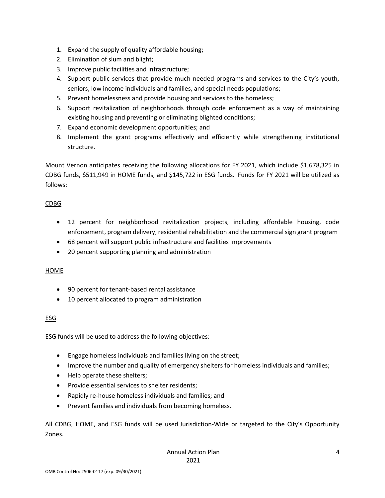- 1. Expand the supply of quality affordable housing;
- 2. Elimination of slum and blight;
- 3. Improve public facilities and infrastructure;
- 4. Support public services that provide much needed programs and services to the City's youth, seniors, low income individuals and families, and special needs populations;
- 5. Prevent homelessness and provide housing and services to the homeless;
- 6. Support revitalization of neighborhoods through code enforcement as a way of maintaining existing housing and preventing or eliminating blighted conditions;
- 7. Expand economic development opportunities; and
- 8. Implement the grant programs effectively and efficiently while strengthening institutional structure.

Mount Vernon anticipates receiving the following allocations for FY 2021, which include \$1,678,325 in CDBG funds, \$511,949 in HOME funds, and \$145,722 in ESG funds. Funds for FY 2021 will be utilized as follows:

#### CDBG

- 12 percent for neighborhood revitalization projects, including affordable housing, code enforcement, program delivery, residential rehabilitation and the commercial sign grant program
- 68 percent will support public infrastructure and facilities improvements
- 20 percent supporting planning and administration

#### HOME

- 90 percent for tenant-based rental assistance
- 10 percent allocated to program administration

### ESG

ESG funds will be used to address the following objectives:

- Engage homeless individuals and families living on the street;
- Improve the number and quality of emergency shelters for homeless individuals and families;
- Help operate these shelters;
- Provide essential services to shelter residents;
- Rapidly re-house homeless individuals and families; and
- Prevent families and individuals from becoming homeless.

All CDBG, HOME, and ESG funds will be used Jurisdiction-Wide or targeted to the City's Opportunity Zones.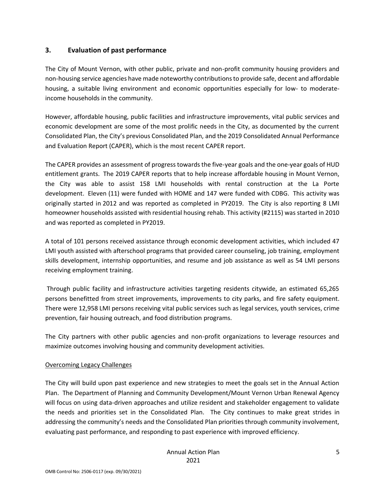#### **3. Evaluation of past performance**

The City of Mount Vernon, with other public, private and non-profit community housing providers and non-housing service agencies have made noteworthy contributions to provide safe, decent and affordable housing, a suitable living environment and economic opportunities especially for low- to moderateincome households in the community.

However, affordable housing, public facilities and infrastructure improvements, vital public services and economic development are some of the most prolific needs in the City, as documented by the current Consolidated Plan, the City's previous Consolidated Plan, and the 2019 Consolidated Annual Performance and Evaluation Report (CAPER), which is the most recent CAPER report.

The CAPER provides an assessment of progress towards the five-year goals and the one-year goals of HUD entitlement grants. The 2019 CAPER reports that to help increase affordable housing in Mount Vernon, the City was able to assist 158 LMI households with rental construction at the La Porte development. Eleven (11) were funded with HOME and 147 were funded with CDBG. This activity was originally started in 2012 and was reported as completed in PY2019. The City is also reporting 8 LMI homeowner households assisted with residential housing rehab. This activity (#2115) was started in 2010 and was reported as completed in PY2019.

A total of 101 persons received assistance through economic development activities, which included 47 LMI youth assisted with afterschool programs that provided career counseling, job training, employment skills development, internship opportunities, and resume and job assistance as well as 54 LMI persons receiving employment training.

Through public facility and infrastructure activities targeting residents citywide, an estimated 65,265 persons benefitted from street improvements, improvements to city parks, and fire safety equipment. There were 12,958 LMI persons receiving vital public services such as legal services, youth services, crime prevention, fair housing outreach, and food distribution programs.

The City partners with other public agencies and non-profit organizations to leverage resources and maximize outcomes involving housing and community development activities.

#### Overcoming Legacy Challenges

The City will build upon past experience and new strategies to meet the goals set in the Annual Action Plan. The Department of Planning and Community Development/Mount Vernon Urban Renewal Agency will focus on using data-driven approaches and utilize resident and stakeholder engagement to validate the needs and priorities set in the Consolidated Plan. The City continues to make great strides in addressing the community's needs and the Consolidated Plan priorities through community involvement, evaluating past performance, and responding to past experience with improved efficiency.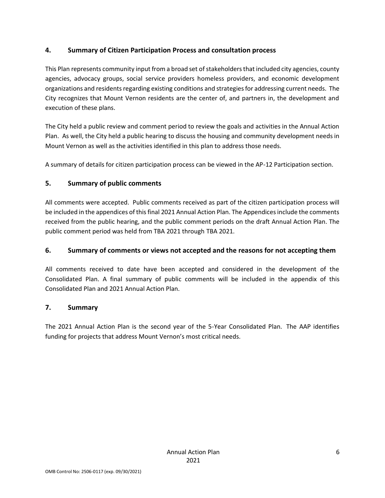### **4. Summary of Citizen Participation Process and consultation process**

This Plan represents community input from a broad set of stakeholders that included city agencies, county agencies, advocacy groups, social service providers homeless providers, and economic development organizations and residents regarding existing conditions and strategies for addressing current needs. The City recognizes that Mount Vernon residents are the center of, and partners in, the development and execution of these plans.

The City held a public review and comment period to review the goals and activities in the Annual Action Plan. As well, the City held a public hearing to discuss the housing and community development needs in Mount Vernon as well as the activities identified in this plan to address those needs.

A summary of details for citizen participation process can be viewed in the AP-12 Participation section.

### **5. Summary of public comments**

All comments were accepted. Public comments received as part of the citizen participation process will be included in the appendices of this final 2021 Annual Action Plan. The Appendices include the comments received from the public hearing, and the public comment periods on the draft Annual Action Plan. The public comment period was held from TBA 2021 through TBA 2021.

### **6. Summary of comments or views not accepted and the reasons for not accepting them**

All comments received to date have been accepted and considered in the development of the Consolidated Plan. A final summary of public comments will be included in the appendix of this Consolidated Plan and 2021 Annual Action Plan.

### **7. Summary**

The 2021 Annual Action Plan is the second year of the 5-Year Consolidated Plan. The AAP identifies funding for projects that address Mount Vernon's most critical needs.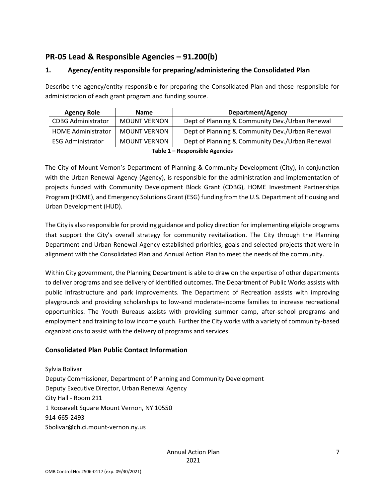### <span id="page-6-0"></span>**PR-05 Lead & Responsible Agencies – 91.200(b)**

### **1. Agency/entity responsible for preparing/administering the Consolidated Plan**

Describe the agency/entity responsible for preparing the Consolidated Plan and those responsible for administration of each grant program and funding source.

| <b>Agency Role</b>                                                                                             | <b>Name</b>         | <b>Department/Agency</b>                        |
|----------------------------------------------------------------------------------------------------------------|---------------------|-------------------------------------------------|
| <b>CDBG Administrator</b>                                                                                      | <b>MOUNT VERNON</b> | Dept of Planning & Community Dev./Urban Renewal |
| <b>HOME Administrator</b>                                                                                      | <b>MOUNT VERNON</b> | Dept of Planning & Community Dev./Urban Renewal |
| <b>ESG Administrator</b>                                                                                       | <b>MOUNT VERNON</b> | Dept of Planning & Community Dev./Urban Renewal |
| the ball of the contracted ball of the contraction of the contraction of the contraction of the contraction of |                     |                                                 |

**Table 1 – Responsible Agencies**

The City of Mount Vernon's Department of Planning & Community Development (City), in conjunction with the Urban Renewal Agency (Agency), is responsible for the administration and implementation of projects funded with Community Development Block Grant (CDBG), HOME Investment Partnerships Program (HOME), and Emergency Solutions Grant (ESG) funding from the U.S. Department of Housing and Urban Development (HUD).

The City is also responsible for providing guidance and policy direction for implementing eligible programs that support the City's overall strategy for community revitalization. The City through the Planning Department and Urban Renewal Agency established priorities, goals and selected projects that were in alignment with the Consolidated Plan and Annual Action Plan to meet the needs of the community.

Within City government, the Planning Department is able to draw on the expertise of other departments to deliver programs and see delivery of identified outcomes. The Department of Public Works assists with public infrastructure and park improvements. The Department of Recreation assists with improving playgrounds and providing scholarships to low-and moderate-income families to increase recreational opportunities. The Youth Bureaus assists with providing summer camp, after-school programs and employment and training to low income youth. Further the City works with a variety of community-based organizations to assist with the delivery of programs and services.

### **Consolidated Plan Public Contact Information**

Sylvia Bolivar Deputy Commissioner, Department of Planning and Community Development Deputy Executive Director, Urban Renewal Agency City Hall - Room 211 1 Roosevelt Square Mount Vernon, NY 10550 914-665-2493 Sbolivar@ch.ci.mount-vernon.ny.us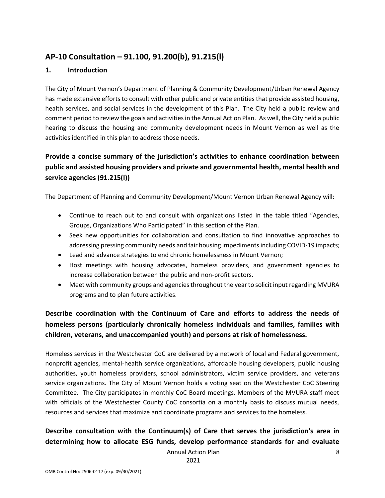### <span id="page-7-0"></span>**AP-10 Consultation – 91.100, 91.200(b), 91.215(l)**

#### **1. Introduction**

The City of Mount Vernon's Department of Planning & Community Development/Urban Renewal Agency has made extensive efforts to consult with other public and private entities that provide assisted housing, health services, and social services in the development of this Plan. The City held a public review and comment period to review the goals and activities in the Annual Action Plan. As well, the City held a public hearing to discuss the housing and community development needs in Mount Vernon as well as the activities identified in this plan to address those needs.

### **Provide a concise summary of the jurisdiction's activities to enhance coordination between public and assisted housing providers and private and governmental health, mental health and service agencies (91.215(l))**

The Department of Planning and Community Development/Mount Vernon Urban Renewal Agency will:

- Continue to reach out to and consult with organizations listed in the table titled "Agencies, Groups, Organizations Who Participated" in this section of the Plan.
- Seek new opportunities for collaboration and consultation to find innovative approaches to addressing pressing community needs and fair housing impediments including COVID-19 impacts;
- Lead and advance strategies to end chronic homelessness in Mount Vernon;
- Host meetings with housing advocates, homeless providers, and government agencies to increase collaboration between the public and non-profit sectors.
- Meet with community groups and agencies throughout the year to solicit input regarding MVURA programs and to plan future activities.

### **Describe coordination with the Continuum of Care and efforts to address the needs of homeless persons (particularly chronically homeless individuals and families, families with children, veterans, and unaccompanied youth) and persons at risk of homelessness.**

Homeless services in the Westchester CoC are delivered by a network of local and Federal government, nonprofit agencies, mental-health service organizations, affordable housing developers, public housing authorities, youth homeless providers, school administrators, victim service providers, and veterans service organizations. The City of Mount Vernon holds a voting seat on the Westchester CoC Steering Committee. The City participates in monthly CoC Board meetings. Members of the MVURA staff meet with officials of the Westchester County CoC consortia on a monthly basis to discuss mutual needs, resources and services that maximize and coordinate programs and services to the homeless.

### **Describe consultation with the Continuum(s) of Care that serves the jurisdiction's area in determining how to allocate ESG funds, develop performance standards for and evaluate**

Annual Action Plan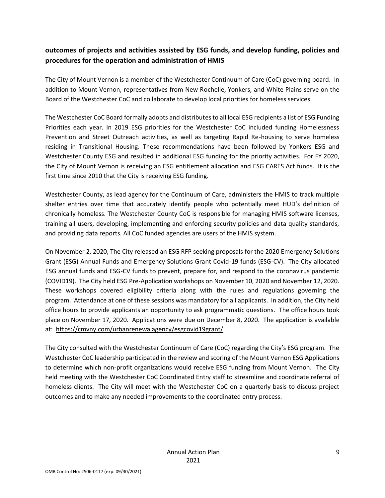### **outcomes of projects and activities assisted by ESG funds, and develop funding, policies and procedures for the operation and administration of HMIS**

The City of Mount Vernon is a member of the Westchester Continuum of Care (CoC) governing board. In addition to Mount Vernon, representatives from New Rochelle, Yonkers, and White Plains serve on the Board of the Westchester CoC and collaborate to develop local priorities for homeless services.

The Westchester CoC Board formally adopts and distributes to all local ESG recipients a list of ESG Funding Priorities each year. In 2019 ESG priorities for the Westchester CoC included funding Homelessness Prevention and Street Outreach activities, as well as targeting Rapid Re-housing to serve homeless residing in Transitional Housing. These recommendations have been followed by Yonkers ESG and Westchester County ESG and resulted in additional ESG funding for the priority activities. For FY 2020, the City of Mount Vernon is receiving an ESG entitlement allocation and ESG CARES Act funds. It is the first time since 2010 that the City is receiving ESG funding.

Westchester County, as lead agency for the Continuum of Care, administers the HMIS to track multiple shelter entries over time that accurately identify people who potentially meet HUD's definition of chronically homeless. The Westchester County CoC is responsible for managing HMIS software licenses, training all users, developing, implementing and enforcing security policies and data quality standards, and providing data reports. All CoC funded agencies are users of the HMIS system.

On November 2, 2020, The City released an ESG RFP seeking proposals for the 2020 Emergency Solutions Grant (ESG) Annual Funds and Emergency Solutions Grant Covid-19 funds (ESG-CV). The City allocated ESG annual funds and ESG-CV funds to prevent, prepare for, and respond to the coronavirus pandemic (COVID19). The City held ESG Pre-Application workshops on November 10, 2020 and November 12, 2020. These workshops covered eligibility criteria along with the rules and regulations governing the program. Attendance at one of these sessions was mandatory for all applicants. In addition, the City held office hours to provide applicants an opportunity to ask programmatic questions. The office hours took place on November 17, 2020. Applications were due on December 8, 2020. The application is available at: [https://cmvny.com/urbanrenewalagency/esgcovid19grant/.](https://cmvny.com/urbanrenewalagency/esgcovid19grant/)

The City consulted with the Westchester Continuum of Care (CoC) regarding the City's ESG program. The Westchester CoC leadership participated in the review and scoring of the Mount Vernon ESG Applications to determine which non-profit organizations would receive ESG funding from Mount Vernon. The City held meeting with the Westchester CoC Coordinated Entry staff to streamline and coordinate referral of homeless clients. The City will meet with the Westchester CoC on a quarterly basis to discuss project outcomes and to make any needed improvements to the coordinated entry process.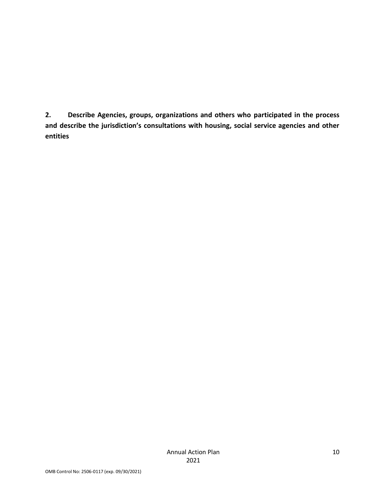**2. Describe Agencies, groups, organizations and others who participated in the process and describe the jurisdiction's consultations with housing, social service agencies and other entities**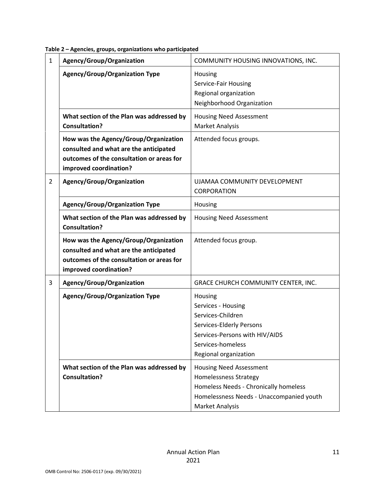| Table 2 - Agencies, groups, organizations who participated |  |  |
|------------------------------------------------------------|--|--|
|------------------------------------------------------------|--|--|

| $\mathbf{1}$   | Agency/Group/Organization                                                                                                                              | COMMUNITY HOUSING INNOVATIONS, INC.                                                                                                                             |
|----------------|--------------------------------------------------------------------------------------------------------------------------------------------------------|-----------------------------------------------------------------------------------------------------------------------------------------------------------------|
|                | <b>Agency/Group/Organization Type</b>                                                                                                                  | Housing<br>Service-Fair Housing<br>Regional organization<br>Neighborhood Organization                                                                           |
|                | What section of the Plan was addressed by<br><b>Consultation?</b>                                                                                      | <b>Housing Need Assessment</b><br>Market Analysis                                                                                                               |
|                | How was the Agency/Group/Organization<br>consulted and what are the anticipated<br>outcomes of the consultation or areas for<br>improved coordination? | Attended focus groups.                                                                                                                                          |
| $\overline{2}$ | Agency/Group/Organization                                                                                                                              | UJAMAA COMMUNITY DEVELOPMENT<br>CORPORATION                                                                                                                     |
|                | <b>Agency/Group/Organization Type</b>                                                                                                                  | Housing                                                                                                                                                         |
|                | What section of the Plan was addressed by<br><b>Consultation?</b>                                                                                      | <b>Housing Need Assessment</b>                                                                                                                                  |
|                | How was the Agency/Group/Organization<br>consulted and what are the anticipated<br>outcomes of the consultation or areas for<br>improved coordination? | Attended focus group.                                                                                                                                           |
| 3              | Agency/Group/Organization                                                                                                                              | GRACE CHURCH COMMUNITY CENTER, INC.                                                                                                                             |
|                | <b>Agency/Group/Organization Type</b>                                                                                                                  | Housing<br>Services - Housing<br>Services-Children<br>Services-Elderly Persons<br>Services-Persons with HIV/AIDS<br>Services-homeless<br>Regional organization  |
|                | What section of the Plan was addressed by<br><b>Consultation?</b>                                                                                      | <b>Housing Need Assessment</b><br>Homelessness Strategy<br>Homeless Needs - Chronically homeless<br>Homelessness Needs - Unaccompanied youth<br>Market Analysis |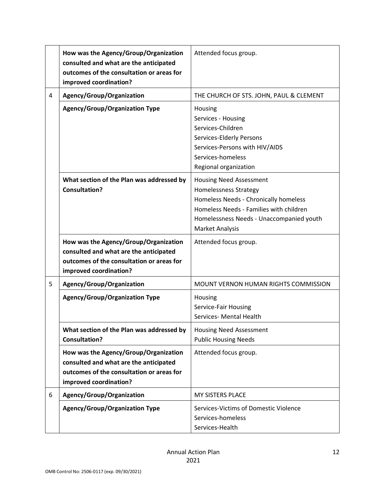|   | How was the Agency/Group/Organization<br>consulted and what are the anticipated<br>outcomes of the consultation or areas for<br>improved coordination? | Attended focus group.                                                                                                                                                                                             |
|---|--------------------------------------------------------------------------------------------------------------------------------------------------------|-------------------------------------------------------------------------------------------------------------------------------------------------------------------------------------------------------------------|
| 4 | Agency/Group/Organization                                                                                                                              | THE CHURCH OF STS. JOHN, PAUL & CLEMENT                                                                                                                                                                           |
|   | <b>Agency/Group/Organization Type</b>                                                                                                                  | Housing<br>Services - Housing<br>Services-Children<br>Services-Elderly Persons<br>Services-Persons with HIV/AIDS<br>Services-homeless<br>Regional organization                                                    |
|   | What section of the Plan was addressed by<br><b>Consultation?</b>                                                                                      | <b>Housing Need Assessment</b><br>Homelessness Strategy<br>Homeless Needs - Chronically homeless<br>Homeless Needs - Families with children<br>Homelessness Needs - Unaccompanied youth<br><b>Market Analysis</b> |
|   | How was the Agency/Group/Organization<br>consulted and what are the anticipated<br>outcomes of the consultation or areas for<br>improved coordination? | Attended focus group.                                                                                                                                                                                             |
| 5 | Agency/Group/Organization                                                                                                                              | MOUNT VERNON HUMAN RIGHTS COMMISSION                                                                                                                                                                              |
|   | <b>Agency/Group/Organization Type</b>                                                                                                                  | Housing<br>Service-Fair Housing<br>Services- Mental Health                                                                                                                                                        |
|   | What section of the Plan was addressed by<br><b>Consultation?</b>                                                                                      | <b>Housing Need Assessment</b><br><b>Public Housing Needs</b>                                                                                                                                                     |
|   | How was the Agency/Group/Organization<br>consulted and what are the anticipated<br>outcomes of the consultation or areas for<br>improved coordination? | Attended focus group.                                                                                                                                                                                             |
| 6 | Agency/Group/Organization                                                                                                                              | <b>MY SISTERS PLACE</b>                                                                                                                                                                                           |
|   | <b>Agency/Group/Organization Type</b>                                                                                                                  | Services-Victims of Domestic Violence<br>Services-homeless<br>Services-Health                                                                                                                                     |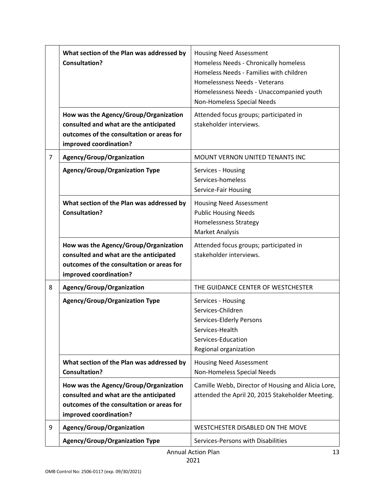|                | What section of the Plan was addressed by<br><b>Consultation?</b><br>How was the Agency/Group/Organization                                             | <b>Housing Need Assessment</b><br>Homeless Needs - Chronically homeless<br>Homeless Needs - Families with children<br>Homelessness Needs - Veterans<br>Homelessness Needs - Unaccompanied youth<br>Non-Homeless Special Needs<br>Attended focus groups; participated in |
|----------------|--------------------------------------------------------------------------------------------------------------------------------------------------------|-------------------------------------------------------------------------------------------------------------------------------------------------------------------------------------------------------------------------------------------------------------------------|
|                | consulted and what are the anticipated<br>outcomes of the consultation or areas for<br>improved coordination?                                          | stakeholder interviews.                                                                                                                                                                                                                                                 |
| $\overline{7}$ | Agency/Group/Organization                                                                                                                              | MOUNT VERNON UNITED TENANTS INC                                                                                                                                                                                                                                         |
|                | <b>Agency/Group/Organization Type</b>                                                                                                                  | Services - Housing<br>Services-homeless<br>Service-Fair Housing                                                                                                                                                                                                         |
|                | What section of the Plan was addressed by<br><b>Consultation?</b>                                                                                      | <b>Housing Need Assessment</b><br><b>Public Housing Needs</b><br>Homelessness Strategy<br><b>Market Analysis</b>                                                                                                                                                        |
|                | How was the Agency/Group/Organization<br>consulted and what are the anticipated<br>outcomes of the consultation or areas for<br>improved coordination? | Attended focus groups; participated in<br>stakeholder interviews.                                                                                                                                                                                                       |
| 8              | Agency/Group/Organization                                                                                                                              | THE GUIDANCE CENTER OF WESTCHESTER                                                                                                                                                                                                                                      |
|                | <b>Agency/Group/Organization Type</b>                                                                                                                  | Services - Housing<br>Services-Children<br>Services-Elderly Persons<br>Services-Health<br>Services-Education<br>Regional organization                                                                                                                                   |
|                | What section of the Plan was addressed by<br><b>Consultation?</b>                                                                                      | <b>Housing Need Assessment</b><br>Non-Homeless Special Needs                                                                                                                                                                                                            |
|                | How was the Agency/Group/Organization<br>consulted and what are the anticipated<br>outcomes of the consultation or areas for<br>improved coordination? | Camille Webb, Director of Housing and Alicia Lore,<br>attended the April 20, 2015 Stakeholder Meeting.                                                                                                                                                                  |
| 9              | Agency/Group/Organization                                                                                                                              | WESTCHESTER DISABLED ON THE MOVE                                                                                                                                                                                                                                        |
|                | <b>Agency/Group/Organization Type</b>                                                                                                                  | Services-Persons with Disabilities                                                                                                                                                                                                                                      |
|                | <b>Annual Action Plan</b><br>13                                                                                                                        |                                                                                                                                                                                                                                                                         |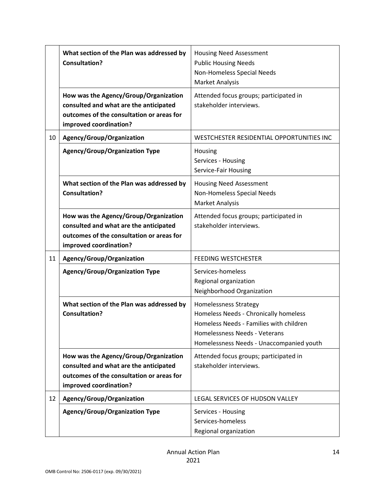|    | What section of the Plan was addressed by<br><b>Consultation?</b>                                                                                      | <b>Housing Need Assessment</b><br><b>Public Housing Needs</b><br>Non-Homeless Special Needs<br>Market Analysis                                                                         |
|----|--------------------------------------------------------------------------------------------------------------------------------------------------------|----------------------------------------------------------------------------------------------------------------------------------------------------------------------------------------|
|    | How was the Agency/Group/Organization<br>consulted and what are the anticipated<br>outcomes of the consultation or areas for<br>improved coordination? | Attended focus groups; participated in<br>stakeholder interviews.                                                                                                                      |
| 10 | Agency/Group/Organization                                                                                                                              | WESTCHESTER RESIDENTIAL OPPORTUNITIES INC                                                                                                                                              |
|    | <b>Agency/Group/Organization Type</b>                                                                                                                  | Housing<br>Services - Housing<br>Service-Fair Housing                                                                                                                                  |
|    | What section of the Plan was addressed by<br><b>Consultation?</b>                                                                                      | <b>Housing Need Assessment</b><br>Non-Homeless Special Needs<br>Market Analysis                                                                                                        |
|    | How was the Agency/Group/Organization<br>consulted and what are the anticipated<br>outcomes of the consultation or areas for<br>improved coordination? | Attended focus groups; participated in<br>stakeholder interviews.                                                                                                                      |
| 11 | Agency/Group/Organization                                                                                                                              | <b>FEEDING WESTCHESTER</b>                                                                                                                                                             |
|    | <b>Agency/Group/Organization Type</b>                                                                                                                  | Services-homeless<br>Regional organization<br>Neighborhood Organization                                                                                                                |
|    | What section of the Plan was addressed by<br><b>Consultation?</b>                                                                                      | Homelessness Strategy<br>Homeless Needs - Chronically homeless<br>Homeless Needs - Families with children<br>Homelessness Needs - Veterans<br>Homelessness Needs - Unaccompanied youth |
|    | How was the Agency/Group/Organization<br>consulted and what are the anticipated<br>outcomes of the consultation or areas for<br>improved coordination? | Attended focus groups; participated in<br>stakeholder interviews.                                                                                                                      |
| 12 | Agency/Group/Organization                                                                                                                              | LEGAL SERVICES OF HUDSON VALLEY                                                                                                                                                        |
|    | <b>Agency/Group/Organization Type</b>                                                                                                                  | Services - Housing<br>Services-homeless<br>Regional organization                                                                                                                       |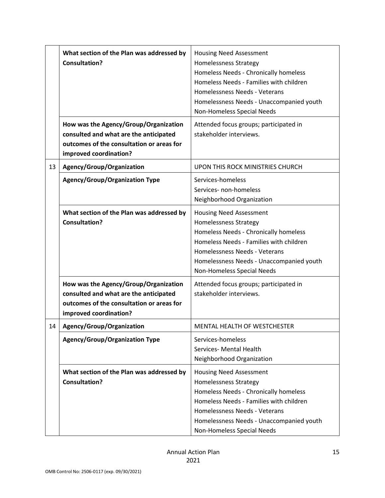|    | What section of the Plan was addressed by<br><b>Consultation?</b>                                                                                      | <b>Housing Need Assessment</b><br>Homelessness Strategy<br>Homeless Needs - Chronically homeless<br>Homeless Needs - Families with children<br>Homelessness Needs - Veterans<br>Homelessness Needs - Unaccompanied youth<br>Non-Homeless Special Needs |
|----|--------------------------------------------------------------------------------------------------------------------------------------------------------|--------------------------------------------------------------------------------------------------------------------------------------------------------------------------------------------------------------------------------------------------------|
|    | How was the Agency/Group/Organization<br>consulted and what are the anticipated<br>outcomes of the consultation or areas for<br>improved coordination? | Attended focus groups; participated in<br>stakeholder interviews.                                                                                                                                                                                      |
| 13 | Agency/Group/Organization                                                                                                                              | UPON THIS ROCK MINISTRIES CHURCH                                                                                                                                                                                                                       |
|    | <b>Agency/Group/Organization Type</b>                                                                                                                  | Services-homeless<br>Services- non-homeless<br>Neighborhood Organization                                                                                                                                                                               |
|    | What section of the Plan was addressed by<br><b>Consultation?</b>                                                                                      | <b>Housing Need Assessment</b><br>Homelessness Strategy<br>Homeless Needs - Chronically homeless<br>Homeless Needs - Families with children<br>Homelessness Needs - Veterans<br>Homelessness Needs - Unaccompanied youth<br>Non-Homeless Special Needs |
|    | How was the Agency/Group/Organization<br>consulted and what are the anticipated<br>outcomes of the consultation or areas for<br>improved coordination? | Attended focus groups; participated in<br>stakeholder interviews.                                                                                                                                                                                      |
| 14 | Agency/Group/Organization                                                                                                                              | MENTAL HEALTH OF WESTCHESTER                                                                                                                                                                                                                           |
|    | <b>Agency/Group/Organization Type</b>                                                                                                                  | Services-homeless<br>Services- Mental Health<br>Neighborhood Organization                                                                                                                                                                              |
|    | What section of the Plan was addressed by<br><b>Consultation?</b>                                                                                      | <b>Housing Need Assessment</b><br>Homelessness Strategy<br>Homeless Needs - Chronically homeless<br>Homeless Needs - Families with children<br>Homelessness Needs - Veterans<br>Homelessness Needs - Unaccompanied youth<br>Non-Homeless Special Needs |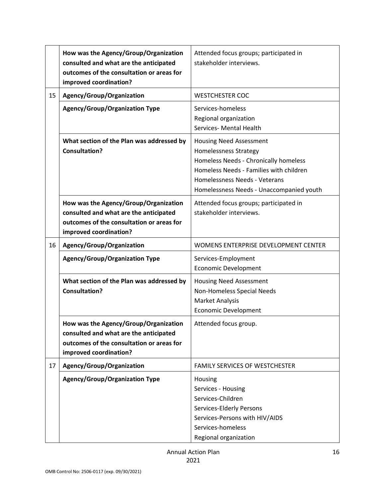|    | How was the Agency/Group/Organization<br>consulted and what are the anticipated<br>outcomes of the consultation or areas for<br>improved coordination? | Attended focus groups; participated in<br>stakeholder interviews.                                                                                                                                                        |
|----|--------------------------------------------------------------------------------------------------------------------------------------------------------|--------------------------------------------------------------------------------------------------------------------------------------------------------------------------------------------------------------------------|
| 15 | Agency/Group/Organization                                                                                                                              | <b>WESTCHESTER COC</b>                                                                                                                                                                                                   |
|    | <b>Agency/Group/Organization Type</b>                                                                                                                  | Services-homeless<br>Regional organization<br>Services- Mental Health                                                                                                                                                    |
|    | What section of the Plan was addressed by<br><b>Consultation?</b>                                                                                      | <b>Housing Need Assessment</b><br>Homelessness Strategy<br>Homeless Needs - Chronically homeless<br>Homeless Needs - Families with children<br>Homelessness Needs - Veterans<br>Homelessness Needs - Unaccompanied youth |
|    | How was the Agency/Group/Organization<br>consulted and what are the anticipated<br>outcomes of the consultation or areas for<br>improved coordination? | Attended focus groups; participated in<br>stakeholder interviews.                                                                                                                                                        |
| 16 | Agency/Group/Organization                                                                                                                              | WOMENS ENTERPRISE DEVELOPMENT CENTER                                                                                                                                                                                     |
|    | <b>Agency/Group/Organization Type</b>                                                                                                                  | Services-Employment<br><b>Economic Development</b>                                                                                                                                                                       |
|    | What section of the Plan was addressed by<br><b>Consultation?</b>                                                                                      | <b>Housing Need Assessment</b><br>Non-Homeless Special Needs<br>Market Analysis<br><b>Economic Development</b>                                                                                                           |
|    | How was the Agency/Group/Organization<br>consulted and what are the anticipated<br>outcomes of the consultation or areas for<br>improved coordination? | Attended focus group.                                                                                                                                                                                                    |
| 17 | Agency/Group/Organization                                                                                                                              | <b>FAMILY SERVICES OF WESTCHESTER</b>                                                                                                                                                                                    |
|    | <b>Agency/Group/Organization Type</b>                                                                                                                  | Housing<br>Services - Housing<br>Services-Children<br>Services-Elderly Persons<br>Services-Persons with HIV/AIDS<br>Services-homeless<br>Regional organization                                                           |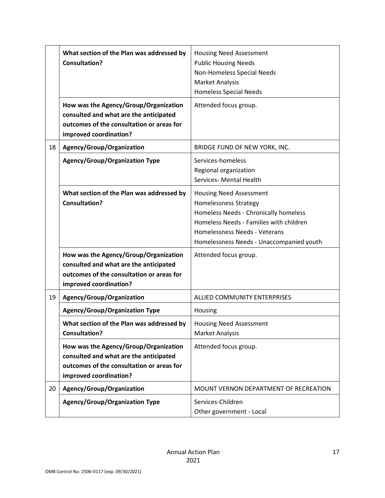|    | What section of the Plan was addressed by<br><b>Consultation?</b>                                                                                      | <b>Housing Need Assessment</b><br><b>Public Housing Needs</b><br>Non-Homeless Special Needs<br><b>Market Analysis</b><br><b>Homeless Special Needs</b>                                                                   |
|----|--------------------------------------------------------------------------------------------------------------------------------------------------------|--------------------------------------------------------------------------------------------------------------------------------------------------------------------------------------------------------------------------|
|    | How was the Agency/Group/Organization<br>consulted and what are the anticipated<br>outcomes of the consultation or areas for<br>improved coordination? | Attended focus group.                                                                                                                                                                                                    |
| 18 | Agency/Group/Organization                                                                                                                              | BRIDGE FUND OF NEW YORK, INC.                                                                                                                                                                                            |
|    | <b>Agency/Group/Organization Type</b>                                                                                                                  | Services-homeless<br>Regional organization<br>Services- Mental Health                                                                                                                                                    |
|    | What section of the Plan was addressed by<br><b>Consultation?</b>                                                                                      | <b>Housing Need Assessment</b><br>Homelessness Strategy<br>Homeless Needs - Chronically homeless<br>Homeless Needs - Families with children<br>Homelessness Needs - Veterans<br>Homelessness Needs - Unaccompanied youth |
|    | How was the Agency/Group/Organization<br>consulted and what are the anticipated<br>outcomes of the consultation or areas for<br>improved coordination? | Attended focus group.                                                                                                                                                                                                    |
| 19 | Agency/Group/Organization                                                                                                                              | ALLIED COMMUNITY ENTERPRISES                                                                                                                                                                                             |
|    | <b>Agency/Group/Organization Type</b>                                                                                                                  | Housing                                                                                                                                                                                                                  |
|    | What section of the Plan was addressed by<br><b>Consultation?</b>                                                                                      | <b>Housing Need Assessment</b><br><b>Market Analysis</b>                                                                                                                                                                 |
|    | How was the Agency/Group/Organization<br>consulted and what are the anticipated<br>outcomes of the consultation or areas for<br>improved coordination? | Attended focus group.                                                                                                                                                                                                    |
| 20 | Agency/Group/Organization                                                                                                                              | MOUNT VERNON DEPARTMENT OF RECREATION                                                                                                                                                                                    |
|    | <b>Agency/Group/Organization Type</b>                                                                                                                  | Services-Children<br>Other government - Local                                                                                                                                                                            |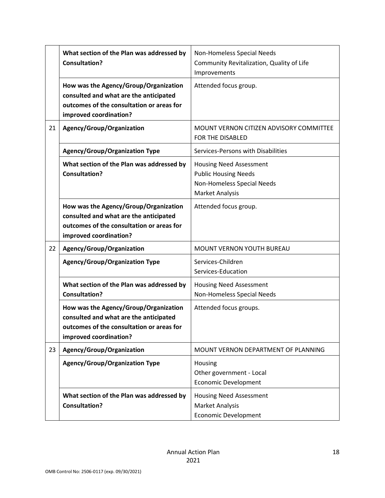|    | What section of the Plan was addressed by<br><b>Consultation?</b>                                                                                      | Non-Homeless Special Needs<br>Community Revitalization, Quality of Life<br>Improvements                        |
|----|--------------------------------------------------------------------------------------------------------------------------------------------------------|----------------------------------------------------------------------------------------------------------------|
|    | How was the Agency/Group/Organization<br>consulted and what are the anticipated<br>outcomes of the consultation or areas for<br>improved coordination? | Attended focus group.                                                                                          |
| 21 | Agency/Group/Organization                                                                                                                              | MOUNT VERNON CITIZEN ADVISORY COMMITTEE<br>FOR THE DISABLED                                                    |
|    | <b>Agency/Group/Organization Type</b>                                                                                                                  | Services-Persons with Disabilities                                                                             |
|    | What section of the Plan was addressed by<br><b>Consultation?</b>                                                                                      | <b>Housing Need Assessment</b><br><b>Public Housing Needs</b><br>Non-Homeless Special Needs<br>Market Analysis |
|    | How was the Agency/Group/Organization<br>consulted and what are the anticipated<br>outcomes of the consultation or areas for<br>improved coordination? | Attended focus group.                                                                                          |
| 22 | Agency/Group/Organization                                                                                                                              | MOUNT VERNON YOUTH BUREAU                                                                                      |
|    | <b>Agency/Group/Organization Type</b>                                                                                                                  | Services-Children<br>Services-Education                                                                        |
|    | What section of the Plan was addressed by<br><b>Consultation?</b>                                                                                      | <b>Housing Need Assessment</b><br>Non-Homeless Special Needs                                                   |
|    | How was the Agency/Group/Organization<br>consulted and what are the anticipated<br>outcomes of the consultation or areas for<br>improved coordination? | Attended focus groups.                                                                                         |
| 23 | Agency/Group/Organization                                                                                                                              | MOUNT VERNON DEPARTMENT OF PLANNING                                                                            |
|    | <b>Agency/Group/Organization Type</b>                                                                                                                  | Housing<br>Other government - Local<br><b>Economic Development</b>                                             |
|    | What section of the Plan was addressed by<br><b>Consultation?</b>                                                                                      | <b>Housing Need Assessment</b><br><b>Market Analysis</b><br><b>Economic Development</b>                        |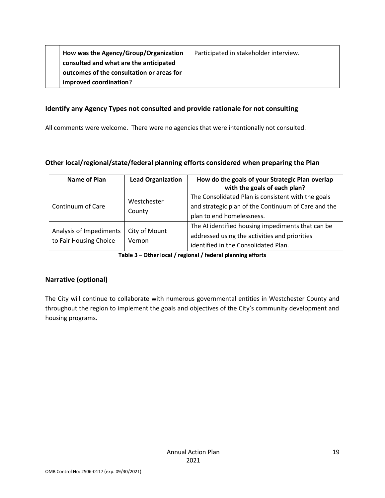| How was the Agency/Group/Organization     | Participated in stakeholder interview. |
|-------------------------------------------|----------------------------------------|
| consulted and what are the anticipated    |                                        |
| outcomes of the consultation or areas for |                                        |
| improved coordination?                    |                                        |

#### **Identify any Agency Types not consulted and provide rationale for not consulting**

All comments were welcome. There were no agencies that were intentionally not consulted.

### **Other local/regional/state/federal planning efforts considered when preparing the Plan**

| Name of Plan                                                                 | <b>Lead Organization</b> | How do the goals of your Strategic Plan overlap<br>with the goals of each plan?                                                            |
|------------------------------------------------------------------------------|--------------------------|--------------------------------------------------------------------------------------------------------------------------------------------|
| Continuum of Care                                                            | Westchester<br>County    | The Consolidated Plan is consistent with the goals<br>and strategic plan of the Continuum of Care and the<br>plan to end homelessness.     |
| City of Mount<br>Analysis of Impediments<br>to Fair Housing Choice<br>Vernon |                          | The AI identified housing impediments that can be<br>addressed using the activities and priorities<br>identified in the Consolidated Plan. |

**Table 3 – Other local / regional / federal planning efforts**

### **Narrative (optional)**

The City will continue to collaborate with numerous governmental entities in Westchester County and throughout the region to implement the goals and objectives of the City's community development and housing programs.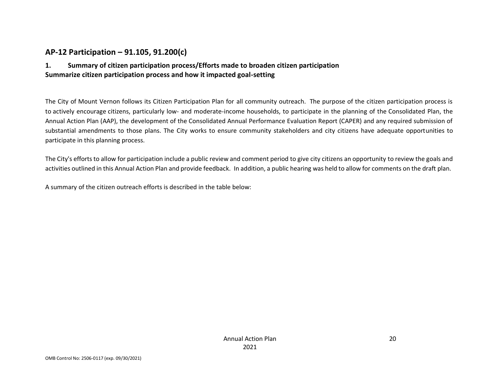### **AP-12 Participation – 91.105, 91.200(c)**

### **1. Summary of citizen participation process/Efforts made to broaden citizen participation Summarize citizen participation process and how it impacted goal-setting**

The City of Mount Vernon follows its Citizen Participation Plan for all community outreach. The purpose of the citizen participation process is to actively encourage citizens, particularly low- and moderate-income households, to participate in the planning of the Consolidated Plan, the Annual Action Plan (AAP), the development of the Consolidated Annual Performance Evaluation Report (CAPER) and any required submission of substantial amendments to those plans. The City works to ensure community stakeholders and city citizens have adequate opportunities to participate in this planning process.

<span id="page-19-0"></span>The City's efforts to allow for participation include a public review and comment period to give city citizens an opportunity to review the goals and activities outlined in this Annual Action Plan and provide feedback. In addition, a public hearing was held to allow for comments on the draft plan.

A summary of the citizen outreach efforts is described in the table below: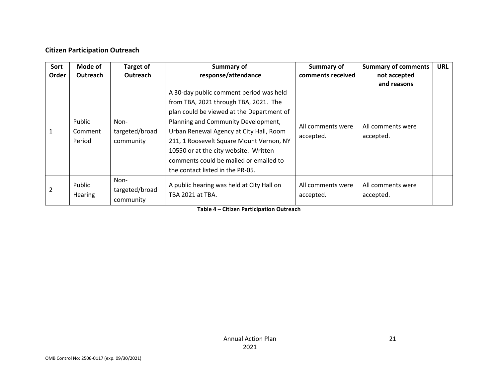### **Citizen Participation Outreach**

| Sort<br>Order | Mode of<br><b>Outreach</b>  | <b>Target of</b><br><b>Outreach</b> | Summary of<br>response/attendance                                                                                                                                                                                                                                                                                                                                                  | Summary of<br>comments received | <b>Summary of comments</b><br>not accepted<br>and reasons | <b>URL</b> |
|---------------|-----------------------------|-------------------------------------|------------------------------------------------------------------------------------------------------------------------------------------------------------------------------------------------------------------------------------------------------------------------------------------------------------------------------------------------------------------------------------|---------------------------------|-----------------------------------------------------------|------------|
|               | Public<br>Comment<br>Period | Non-<br>targeted/broad<br>community | A 30-day public comment period was held<br>from TBA, 2021 through TBA, 2021. The<br>plan could be viewed at the Department of<br>Planning and Community Development,<br>Urban Renewal Agency at City Hall, Room<br>211, 1 Roosevelt Square Mount Vernon, NY<br>10550 or at the city website. Written<br>comments could be mailed or emailed to<br>the contact listed in the PR-05. | All comments were<br>accepted.  | All comments were<br>accepted.                            |            |
| 2             | Public<br><b>Hearing</b>    | Non-<br>targeted/broad<br>community | A public hearing was held at City Hall on<br>TBA 2021 at TBA.                                                                                                                                                                                                                                                                                                                      | All comments were<br>accepted.  | All comments were<br>accepted.                            |            |

**Table 4 – Citizen Participation Outreach**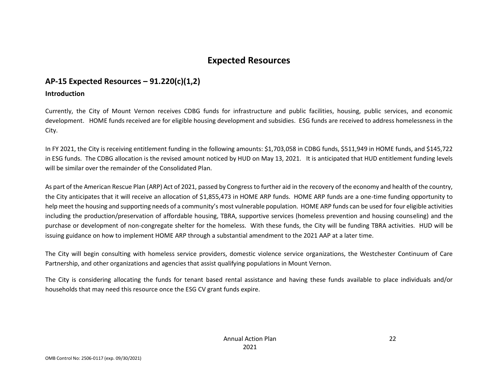# **Expected Resources**

### **AP-15 Expected Resources – 91.220(c)(1,2)**

#### **Introduction**

Currently, the City of Mount Vernon receives CDBG funds for infrastructure and public facilities, housing, public services, and economic development. HOME funds received are for eligible housing development and subsidies. ESG funds are received to address homelessness in the City.

<span id="page-21-0"></span>In FY 2021, the City is receiving entitlement funding in the following amounts: \$1,703,058 in CDBG funds, \$511,949 in HOME funds, and \$145,722 in ESG funds. The CDBG allocation is the revised amount noticed by HUD on May 13, 2021. It is anticipated that HUD entitlement funding levels will be similar over the remainder of the Consolidated Plan.

<span id="page-21-1"></span>As part of the American Rescue Plan (ARP) Act of 2021, passed by Congress to further aid in the recovery of the economy and health of the country, the City anticipates that it will receive an allocation of \$1,855,473 in HOME ARP funds. HOME ARP funds are a one-time funding opportunity to help meet the housing and supporting needs of a community's most vulnerable population. HOME ARP funds can be used for four eligible activities including the production/preservation of affordable housing, TBRA, supportive services (homeless prevention and housing counseling) and the purchase or development of non-congregate shelter for the homeless. With these funds, the City will be funding TBRA activities. HUD will be issuing guidance on how to implement HOME ARP through a substantial amendment to the 2021 AAP at a later time.

The City will begin consulting with homeless service providers, domestic violence service organizations, the Westchester Continuum of Care Partnership, and other organizations and agencies that assist qualifying populations in Mount Vernon.

The City is considering allocating the funds for tenant based rental assistance and having these funds available to place individuals and/or households that may need this resource once the ESG CV grant funds expire.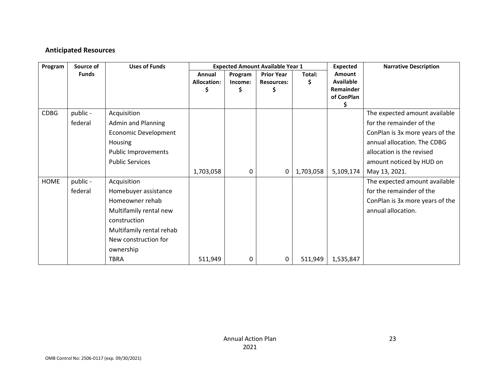### **Anticipated Resources**

| Program     | Source of    | <b>Uses of Funds</b>        | <b>Expected Amount Available Year 1</b> |         |                   |           | <b>Expected</b>  | <b>Narrative Description</b>    |
|-------------|--------------|-----------------------------|-----------------------------------------|---------|-------------------|-----------|------------------|---------------------------------|
|             | <b>Funds</b> |                             | Annual                                  | Program | <b>Prior Year</b> | Total:    | Amount           |                                 |
|             |              |                             | <b>Allocation:</b>                      | Income: | <b>Resources:</b> | Ş.        | <b>Available</b> |                                 |
|             |              |                             | \$                                      | \$      | \$                |           | Remainder        |                                 |
|             |              |                             |                                         |         |                   |           | of ConPlan<br>Ş  |                                 |
| <b>CDBG</b> | public -     | Acquisition                 |                                         |         |                   |           |                  | The expected amount available   |
|             | federal      | <b>Admin and Planning</b>   |                                         |         |                   |           |                  | for the remainder of the        |
|             |              | <b>Economic Development</b> |                                         |         |                   |           |                  | ConPlan is 3x more years of the |
|             |              | Housing                     |                                         |         |                   |           |                  | annual allocation. The CDBG     |
|             |              | <b>Public Improvements</b>  |                                         |         |                   |           |                  | allocation is the revised       |
|             |              | <b>Public Services</b>      |                                         |         |                   |           |                  | amount noticed by HUD on        |
|             |              |                             | 1,703,058                               | 0       | 0                 | 1,703,058 | 5,109,174        | May 13, 2021.                   |
| <b>HOME</b> | public -     | Acquisition                 |                                         |         |                   |           |                  | The expected amount available   |
|             | federal      | Homebuyer assistance        |                                         |         |                   |           |                  | for the remainder of the        |
|             |              | Homeowner rehab             |                                         |         |                   |           |                  | ConPlan is 3x more years of the |
|             |              | Multifamily rental new      |                                         |         |                   |           |                  | annual allocation.              |
|             |              | construction                |                                         |         |                   |           |                  |                                 |
|             |              | Multifamily rental rehab    |                                         |         |                   |           |                  |                                 |
|             |              | New construction for        |                                         |         |                   |           |                  |                                 |
|             |              | ownership                   |                                         |         |                   |           |                  |                                 |
|             |              | <b>TBRA</b>                 | 511,949                                 | 0       | 0                 | 511,949   | 1,535,847        |                                 |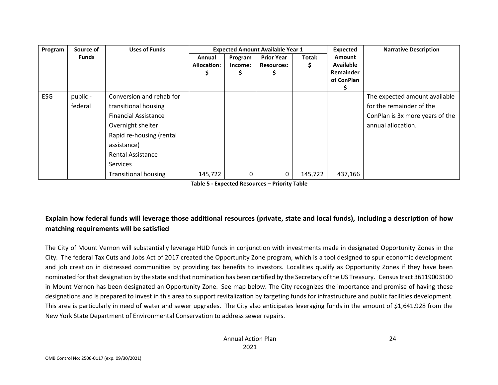| Program    | Source of    | <b>Uses of Funds</b>        |                    |         | <b>Expected Amount Available Year 1</b> |         | <b>Expected</b>  | <b>Narrative Description</b>    |
|------------|--------------|-----------------------------|--------------------|---------|-----------------------------------------|---------|------------------|---------------------------------|
|            | <b>Funds</b> |                             | Annual             | Program | <b>Prior Year</b>                       | Total:  | <b>Amount</b>    |                                 |
|            |              |                             | <b>Allocation:</b> | Income: | <b>Resources:</b>                       | Ş       | <b>Available</b> |                                 |
|            |              |                             |                    | Ş       |                                         |         | Remainder        |                                 |
|            |              |                             |                    |         |                                         |         | of ConPlan       |                                 |
|            |              |                             |                    |         |                                         |         |                  |                                 |
| <b>ESG</b> | public -     | Conversion and rehab for    |                    |         |                                         |         |                  | The expected amount available   |
|            | federal      | transitional housing        |                    |         |                                         |         |                  | for the remainder of the        |
|            |              | <b>Financial Assistance</b> |                    |         |                                         |         |                  | ConPlan is 3x more years of the |
|            |              | Overnight shelter           |                    |         |                                         |         |                  | annual allocation.              |
|            |              | Rapid re-housing (rental    |                    |         |                                         |         |                  |                                 |
|            |              | assistance)                 |                    |         |                                         |         |                  |                                 |
|            |              | <b>Rental Assistance</b>    |                    |         |                                         |         |                  |                                 |
|            |              | <b>Services</b>             |                    |         |                                         |         |                  |                                 |
|            |              | <b>Transitional housing</b> | 145,722            | 0       | 0                                       | 145,722 | 437,166          |                                 |

**Table 5 - Expected Resources – Priority Table**

### **Explain how federal funds will leverage those additional resources (private, state and local funds), including a description of how matching requirements will be satisfied**

The City of Mount Vernon will substantially leverage HUD funds in conjunction with investments made in designated Opportunity Zones in the City. The federal Tax Cuts and Jobs Act of 2017 created the Opportunity Zone program, which is a tool designed to spur economic development and job creation in distressed communities by providing tax benefits to investors. Localities qualify as Opportunity Zones if they have been nominated for that designation by the state and that nomination has been certified by the Secretary of the US Treasury. Census tract 36119003100 in Mount Vernon has been designated an Opportunity Zone. See map below. The City recognizes the importance and promise of having these designations and is prepared to invest in this area to support revitalization by targeting funds for infrastructure and public facilities development. This area is particularly in need of water and sewer upgrades. The City also anticipates leveraging funds in the amount of \$1,641,928 from the New York State Department of Environmental Conservation to address sewer repairs.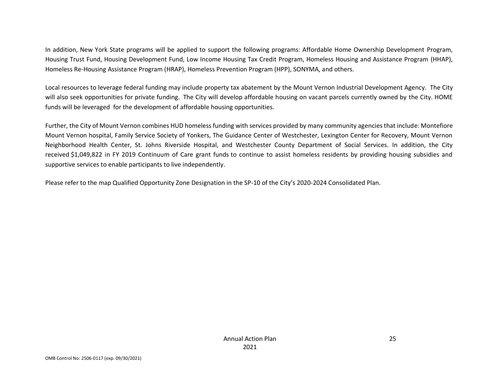In addition, New York State programs will be applied to support the following programs: Affordable Home Ownership Development Program, Housing Trust Fund, Housing Development Fund, Low Income Housing Tax Credit Program, Homeless Housing and Assistance Program (HHAP), Homeless Re-Housing Assistance Program (HRAP), Homeless Prevention Program (HPP), SONYMA, and others.

Local resources to leverage federal funding may include property tax abatement by the Mount Vernon Industrial Development Agency. The City will also seek opportunities for private funding. The City will develop affordable housing on vacant parcels currently owned by the City. HOME funds will be leveraged for the development of affordable housing opportunities.

Further, the City of Mount Vernon combines HUD homeless funding with services provided by many community agencies that include: Montefiore Mount Vernon hospital, Family Service Society of Yonkers, The Guidance Center of Westchester, Lexington Center for Recovery, Mount Vernon Neighborhood Health Center, St. Johns Riverside Hospital, and Westchester County Department of Social Services. In addition, the City received \$1,049,822 in FY 2019 Continuum of Care grant funds to continue to assist homeless residents by providing housing subsidies and supportive services to enable participants to live independently.

Please refer to the map Qualified Opportunity Zone Designation in the SP-10 of the City's 2020-2024 Consolidated Plan.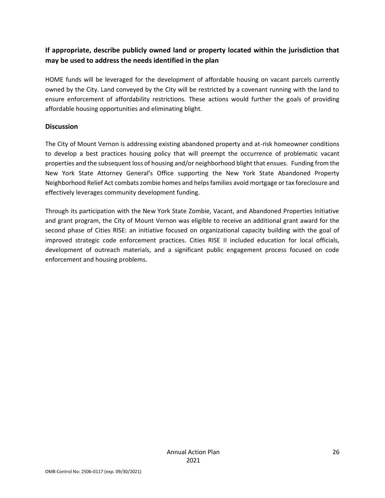### **If appropriate, describe publicly owned land or property located within the jurisdiction that may be used to address the needs identified in the plan**

HOME funds will be leveraged for the development of affordable housing on vacant parcels currently owned by the City. Land conveyed by the City will be restricted by a covenant running with the land to ensure enforcement of affordability restrictions. These actions would further the goals of providing affordable housing opportunities and eliminating blight.

#### **Discussion**

The City of Mount Vernon is addressing existing abandoned property and at-risk homeowner conditions to develop a best practices housing policy that will preempt the occurrence of problematic vacant properties and the subsequent loss of housing and/or neighborhood blight that ensues. Funding from the New York State Attorney General's Office supporting the New York State Abandoned Property Neighborhood Relief Act combats zombie homes and helps families avoid mortgage or tax foreclosure and effectively leverages community development funding.

Through its participation with the New York State Zombie, Vacant, and Abandoned Properties Initiative and grant program, the City of Mount Vernon was eligible to receive an additional grant award for the second phase of Cities RISE: an initiative focused on organizational capacity building with the goal of improved strategic code enforcement practices. Cities RISE II included education for local officials, development of outreach materials, and a significant public engagement process focused on code enforcement and housing problems.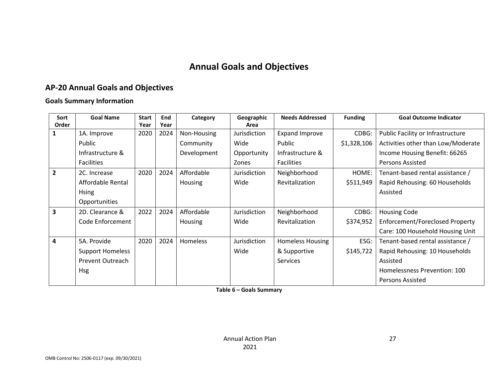# **Annual Goals and Objectives**

# **AP-20 Annual Goals and Objectives**

#### **Goals Summary Information**

<span id="page-26-1"></span><span id="page-26-0"></span>

| Sort                    | <b>Goal Name</b>        | <b>Start</b> | End  | Category    | Geographic   | <b>Needs Addressed</b>  | <b>Funding</b> | <b>Goal Outcome Indicator</b>          |
|-------------------------|-------------------------|--------------|------|-------------|--------------|-------------------------|----------------|----------------------------------------|
| Order                   |                         | Year         | Year |             | Area         |                         |                |                                        |
|                         | 1A. Improve             | 2020         | 2024 | Non-Housing | Jurisdiction | <b>Expand Improve</b>   | CDBG:          | Public Facility or Infrastructure      |
|                         | Public                  |              |      | Community   | Wide         | Public                  | \$1,328,106    | Activities other than Low/Moderate     |
|                         | Infrastructure &        |              |      | Development | Opportunity  | Infrastructure &        |                | Income Housing Benefit: 66265          |
|                         | <b>Facilities</b>       |              |      |             | Zones        | <b>Facilities</b>       |                | <b>Persons Assisted</b>                |
| $\overline{2}$          | 2C. Increase            | 2020         | 2024 | Affordable  | Jurisdiction | Neighborhood            | HOME:          | Tenant-based rental assistance /       |
|                         | Affordable Rental       |              |      | Housing     | Wide         | Revitalization          | \$511,949      | Rapid Rehousing: 60 Households         |
|                         | <b>Hsing</b>            |              |      |             |              |                         |                | Assisted                               |
|                         | Opportunities           |              |      |             |              |                         |                |                                        |
| $\overline{\mathbf{3}}$ | 2D. Clearance &         | 2022         | 2024 | Affordable  | Jurisdiction | Neighborhood            | CDBG:          | <b>Housing Code</b>                    |
|                         | Code Enforcement        |              |      | Housing     | Wide         | Revitalization          | \$374,952      | <b>Enforcement/Foreclosed Property</b> |
|                         |                         |              |      |             |              |                         |                | Care: 100 Household Housing Unit       |
| $\overline{\mathbf{4}}$ | 5A. Provide             | 2020         | 2024 | Homeless    | Jurisdiction | <b>Homeless Housing</b> | ESG:           | Tenant-based rental assistance /       |
|                         | <b>Support Homeless</b> |              |      |             | Wide         | & Supportive            | \$145,722      | Rapid Rehousing: 10 Households         |
|                         | Prevent Outreach        |              |      |             |              | <b>Services</b>         |                | Assisted                               |
|                         | <b>Hsg</b>              |              |      |             |              |                         |                | Homelessness Prevention: 100           |
|                         |                         |              |      |             |              |                         |                | Persons Assisted                       |

**Table 6 – Goals Summary**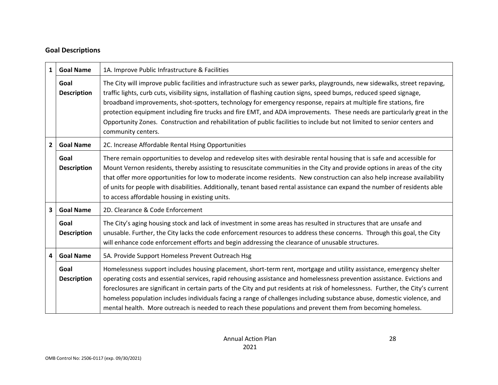### **Goal Descriptions**

| $\mathbf{1}$ | <b>Goal Name</b>           | 1A. Improve Public Infrastructure & Facilities                                                                                                                                                                                                                                                                                                                                                                                                                                                                                                                                                                                                              |  |  |
|--------------|----------------------------|-------------------------------------------------------------------------------------------------------------------------------------------------------------------------------------------------------------------------------------------------------------------------------------------------------------------------------------------------------------------------------------------------------------------------------------------------------------------------------------------------------------------------------------------------------------------------------------------------------------------------------------------------------------|--|--|
|              | Goal<br><b>Description</b> | The City will improve public facilities and infrastructure such as sewer parks, playgrounds, new sidewalks, street repaving,<br>traffic lights, curb cuts, visibility signs, installation of flashing caution signs, speed bumps, reduced speed signage,<br>broadband improvements, shot-spotters, technology for emergency response, repairs at multiple fire stations, fire<br>protection equipment including fire trucks and fire EMT, and ADA improvements. These needs are particularly great in the<br>Opportunity Zones. Construction and rehabilitation of public facilities to include but not limited to senior centers and<br>community centers. |  |  |
| $2^{\circ}$  | <b>Goal Name</b>           | 2C. Increase Affordable Rental Hsing Opportunities                                                                                                                                                                                                                                                                                                                                                                                                                                                                                                                                                                                                          |  |  |
|              | Goal<br><b>Description</b> | There remain opportunities to develop and redevelop sites with desirable rental housing that is safe and accessible for<br>Mount Vernon residents, thereby assisting to resuscitate communities in the City and provide options in areas of the city<br>that offer more opportunities for low to moderate income residents. New construction can also help increase availability<br>of units for people with disabilities. Additionally, tenant based rental assistance can expand the number of residents able<br>to access affordable housing in existing units.                                                                                          |  |  |
| $\mathbf{3}$ | <b>Goal Name</b>           | 2D. Clearance & Code Enforcement                                                                                                                                                                                                                                                                                                                                                                                                                                                                                                                                                                                                                            |  |  |
|              | Goal<br><b>Description</b> | The City's aging housing stock and lack of investment in some areas has resulted in structures that are unsafe and<br>unusable. Further, the City lacks the code enforcement resources to address these concerns. Through this goal, the City<br>will enhance code enforcement efforts and begin addressing the clearance of unusable structures.                                                                                                                                                                                                                                                                                                           |  |  |
| 4            | <b>Goal Name</b>           | 5A. Provide Support Homeless Prevent Outreach Hsg                                                                                                                                                                                                                                                                                                                                                                                                                                                                                                                                                                                                           |  |  |
|              | Goal<br><b>Description</b> | Homelessness support includes housing placement, short-term rent, mortgage and utility assistance, emergency shelter<br>operating costs and essential services, rapid rehousing assistance and homelessness prevention assistance. Evictions and<br>foreclosures are significant in certain parts of the City and put residents at risk of homelessness. Further, the City's current<br>homeless population includes individuals facing a range of challenges including substance abuse, domestic violence, and<br>mental health. More outreach is needed to reach these populations and prevent them from becoming homeless.                               |  |  |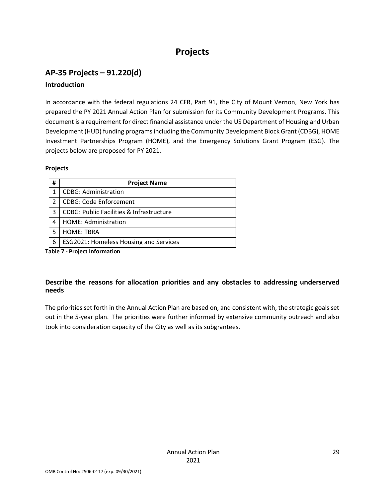# **Projects**

### <span id="page-28-0"></span>**AP-35 Projects – 91.220(d) Introduction**

In accordance with the federal regulations 24 CFR, Part 91, the City of Mount Vernon, New York has prepared the PY 2021 Annual Action Plan for submission for its Community Development Programs. This document is a requirement for direct financial assistance under the US Department of Housing and Urban Development (HUD) funding programs including the Community Development Block Grant (CDBG), HOME Investment Partnerships Program (HOME), and the Emergency Solutions Grant Program (ESG). The projects below are proposed for PY 2021.

#### **Projects**

| #             | <b>Project Name</b>                                 |
|---------------|-----------------------------------------------------|
|               | <b>CDBG: Administration</b>                         |
| $\mathcal{P}$ | <b>CDBG: Code Enforcement</b>                       |
| 3             | <b>CDBG: Public Facilities &amp; Infrastructure</b> |
| 4             | HOME: Administration                                |
| 5             | <b>HOME: TBRA</b>                                   |
| 6             | <b>ESG2021: Homeless Housing and Services</b>       |

**Table 7 - Project Information**

### **Describe the reasons for allocation priorities and any obstacles to addressing underserved needs**

The priorities set forth in the Annual Action Plan are based on, and consistent with, the strategic goals set out in the 5-year plan. The priorities were further informed by extensive community outreach and also took into consideration capacity of the City as well as its subgrantees.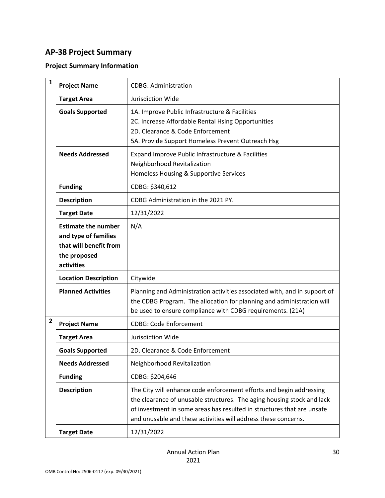### <span id="page-29-0"></span>**AP-38 Project Summary**

### **Project Summary Information**

| $\mathbf{1}$   | <b>Project Name</b>                                                                                        | <b>CDBG: Administration</b>                                                                                                                                                                                                                                                               |
|----------------|------------------------------------------------------------------------------------------------------------|-------------------------------------------------------------------------------------------------------------------------------------------------------------------------------------------------------------------------------------------------------------------------------------------|
|                | <b>Target Area</b>                                                                                         | Jurisdiction Wide                                                                                                                                                                                                                                                                         |
|                | <b>Goals Supported</b>                                                                                     | 1A. Improve Public Infrastructure & Facilities<br>2C. Increase Affordable Rental Hsing Opportunities<br>2D. Clearance & Code Enforcement<br>5A. Provide Support Homeless Prevent Outreach Hsg                                                                                             |
|                | <b>Needs Addressed</b>                                                                                     | Expand Improve Public Infrastructure & Facilities<br>Neighborhood Revitalization<br>Homeless Housing & Supportive Services                                                                                                                                                                |
|                | <b>Funding</b>                                                                                             | CDBG: \$340,612                                                                                                                                                                                                                                                                           |
|                | <b>Description</b>                                                                                         | CDBG Administration in the 2021 PY.                                                                                                                                                                                                                                                       |
|                | <b>Target Date</b>                                                                                         | 12/31/2022                                                                                                                                                                                                                                                                                |
|                | <b>Estimate the number</b><br>and type of families<br>that will benefit from<br>the proposed<br>activities | N/A                                                                                                                                                                                                                                                                                       |
|                | <b>Location Description</b>                                                                                | Citywide                                                                                                                                                                                                                                                                                  |
|                | <b>Planned Activities</b>                                                                                  | Planning and Administration activities associated with, and in support of<br>the CDBG Program. The allocation for planning and administration will<br>be used to ensure compliance with CDBG requirements. (21A)                                                                          |
| $\overline{2}$ | <b>Project Name</b>                                                                                        | <b>CDBG: Code Enforcement</b>                                                                                                                                                                                                                                                             |
|                | <b>Target Area</b>                                                                                         | Jurisdiction Wide                                                                                                                                                                                                                                                                         |
|                | <b>Goals Supported</b>                                                                                     | 2D. Clearance & Code Enforcement                                                                                                                                                                                                                                                          |
|                | <b>Needs Addressed</b>                                                                                     | Neighborhood Revitalization                                                                                                                                                                                                                                                               |
|                | <b>Funding</b>                                                                                             | CDBG: \$204,646                                                                                                                                                                                                                                                                           |
|                | <b>Description</b>                                                                                         | The City will enhance code enforcement efforts and begin addressing<br>the clearance of unusable structures. The aging housing stock and lack<br>of investment in some areas has resulted in structures that are unsafe<br>and unusable and these activities will address these concerns. |
|                | <b>Target Date</b>                                                                                         | 12/31/2022                                                                                                                                                                                                                                                                                |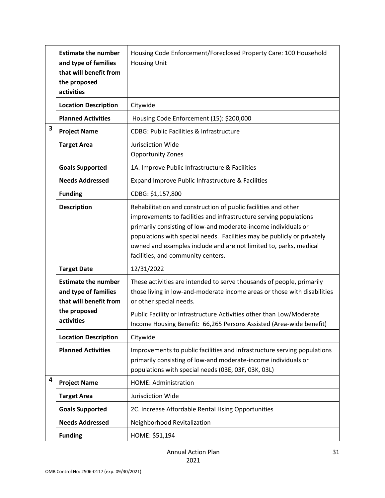|   | <b>Estimate the number</b><br>and type of families<br>that will benefit from<br>the proposed<br>activities | Housing Code Enforcement/Foreclosed Property Care: 100 Household<br><b>Housing Unit</b>                                                                                                                                                                                                                                                                                                     |
|---|------------------------------------------------------------------------------------------------------------|---------------------------------------------------------------------------------------------------------------------------------------------------------------------------------------------------------------------------------------------------------------------------------------------------------------------------------------------------------------------------------------------|
|   | <b>Location Description</b>                                                                                | Citywide                                                                                                                                                                                                                                                                                                                                                                                    |
|   | <b>Planned Activities</b>                                                                                  | Housing Code Enforcement (15): \$200,000                                                                                                                                                                                                                                                                                                                                                    |
| 3 | <b>Project Name</b>                                                                                        | <b>CDBG: Public Facilities &amp; Infrastructure</b>                                                                                                                                                                                                                                                                                                                                         |
|   | <b>Target Area</b>                                                                                         | Jurisdiction Wide<br><b>Opportunity Zones</b>                                                                                                                                                                                                                                                                                                                                               |
|   | <b>Goals Supported</b>                                                                                     | 1A. Improve Public Infrastructure & Facilities                                                                                                                                                                                                                                                                                                                                              |
|   | <b>Needs Addressed</b>                                                                                     | Expand Improve Public Infrastructure & Facilities                                                                                                                                                                                                                                                                                                                                           |
|   | <b>Funding</b>                                                                                             | CDBG: \$1,157,800                                                                                                                                                                                                                                                                                                                                                                           |
|   | <b>Description</b>                                                                                         | Rehabilitation and construction of public facilities and other<br>improvements to facilities and infrastructure serving populations<br>primarily consisting of low-and moderate-income individuals or<br>populations with special needs. Facilities may be publicly or privately<br>owned and examples include and are not limited to, parks, medical<br>facilities, and community centers. |
|   | <b>Target Date</b>                                                                                         | 12/31/2022                                                                                                                                                                                                                                                                                                                                                                                  |
|   | <b>Estimate the number</b><br>and type of families<br>that will benefit from<br>the proposed<br>activities | These activities are intended to serve thousands of people, primarily<br>those living in low-and-moderate income areas or those with disabilities<br>or other special needs.<br>Public Facility or Infrastructure Activities other than Low/Moderate<br>Income Housing Benefit: 66,265 Persons Assisted (Area-wide benefit)                                                                 |
|   | <b>Location Description</b>                                                                                | Citywide                                                                                                                                                                                                                                                                                                                                                                                    |
|   | <b>Planned Activities</b>                                                                                  | Improvements to public facilities and infrastructure serving populations<br>primarily consisting of low-and moderate-income individuals or<br>populations with special needs (03E, 03F, 03K, 03L)                                                                                                                                                                                           |
| 4 | <b>Project Name</b>                                                                                        | HOME: Administration                                                                                                                                                                                                                                                                                                                                                                        |
|   | <b>Target Area</b>                                                                                         | Jurisdiction Wide                                                                                                                                                                                                                                                                                                                                                                           |
|   | <b>Goals Supported</b>                                                                                     | 2C. Increase Affordable Rental Hsing Opportunities                                                                                                                                                                                                                                                                                                                                          |
|   | <b>Needs Addressed</b>                                                                                     | Neighborhood Revitalization                                                                                                                                                                                                                                                                                                                                                                 |
|   | <b>Funding</b>                                                                                             | HOME: \$51,194                                                                                                                                                                                                                                                                                                                                                                              |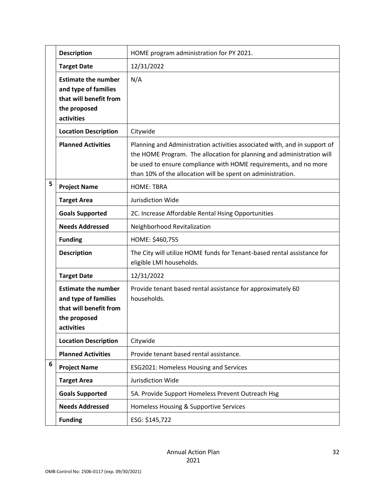|   | <b>Description</b>                                                                                         | HOME program administration for PY 2021.                                                                                                                                                                                                                                              |
|---|------------------------------------------------------------------------------------------------------------|---------------------------------------------------------------------------------------------------------------------------------------------------------------------------------------------------------------------------------------------------------------------------------------|
|   | <b>Target Date</b>                                                                                         | 12/31/2022                                                                                                                                                                                                                                                                            |
|   | <b>Estimate the number</b><br>and type of families<br>that will benefit from<br>the proposed<br>activities | N/A                                                                                                                                                                                                                                                                                   |
|   | <b>Location Description</b>                                                                                | Citywide                                                                                                                                                                                                                                                                              |
|   | <b>Planned Activities</b>                                                                                  | Planning and Administration activities associated with, and in support of<br>the HOME Program. The allocation for planning and administration will<br>be used to ensure compliance with HOME requirements, and no more<br>than 10% of the allocation will be spent on administration. |
| 5 | <b>Project Name</b>                                                                                        | <b>HOME: TBRA</b>                                                                                                                                                                                                                                                                     |
|   | <b>Target Area</b>                                                                                         | Jurisdiction Wide                                                                                                                                                                                                                                                                     |
|   | <b>Goals Supported</b>                                                                                     | 2C. Increase Affordable Rental Hsing Opportunities                                                                                                                                                                                                                                    |
|   | <b>Needs Addressed</b>                                                                                     | Neighborhood Revitalization                                                                                                                                                                                                                                                           |
|   | <b>Funding</b>                                                                                             | HOME: \$460,755                                                                                                                                                                                                                                                                       |
|   | <b>Description</b>                                                                                         | The City will utilize HOME funds for Tenant-based rental assistance for<br>eligible LMI households.                                                                                                                                                                                   |
|   | <b>Target Date</b>                                                                                         | 12/31/2022                                                                                                                                                                                                                                                                            |
|   | <b>Estimate the number</b><br>and type of families<br>that will benefit from<br>the proposed<br>activities | Provide tenant based rental assistance for approximately 60<br>households.                                                                                                                                                                                                            |
|   | <b>Location Description</b>                                                                                | Citywide                                                                                                                                                                                                                                                                              |
|   | <b>Planned Activities</b>                                                                                  | Provide tenant based rental assistance.                                                                                                                                                                                                                                               |
| 6 | <b>Project Name</b>                                                                                        | ESG2021: Homeless Housing and Services                                                                                                                                                                                                                                                |
|   | <b>Target Area</b>                                                                                         | Jurisdiction Wide                                                                                                                                                                                                                                                                     |
|   | <b>Goals Supported</b>                                                                                     | 5A. Provide Support Homeless Prevent Outreach Hsg                                                                                                                                                                                                                                     |
|   | <b>Needs Addressed</b>                                                                                     | Homeless Housing & Supportive Services                                                                                                                                                                                                                                                |
|   | <b>Funding</b>                                                                                             | ESG: \$145,722                                                                                                                                                                                                                                                                        |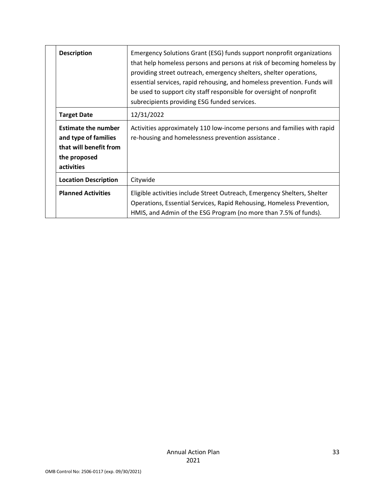| <b>Description</b>                                                                                         | Emergency Solutions Grant (ESG) funds support nonprofit organizations<br>that help homeless persons and persons at risk of becoming homeless by<br>providing street outreach, emergency shelters, shelter operations,<br>essential services, rapid rehousing, and homeless prevention. Funds will<br>be used to support city staff responsible for oversight of nonprofit<br>subrecipients providing ESG funded services. |
|------------------------------------------------------------------------------------------------------------|---------------------------------------------------------------------------------------------------------------------------------------------------------------------------------------------------------------------------------------------------------------------------------------------------------------------------------------------------------------------------------------------------------------------------|
| <b>Target Date</b>                                                                                         | 12/31/2022                                                                                                                                                                                                                                                                                                                                                                                                                |
| <b>Estimate the number</b><br>and type of families<br>that will benefit from<br>the proposed<br>activities | Activities approximately 110 low-income persons and families with rapid<br>re-housing and homelessness prevention assistance.                                                                                                                                                                                                                                                                                             |
| <b>Location Description</b>                                                                                | Citywide                                                                                                                                                                                                                                                                                                                                                                                                                  |
| <b>Planned Activities</b>                                                                                  | Eligible activities include Street Outreach, Emergency Shelters, Shelter<br>Operations, Essential Services, Rapid Rehousing, Homeless Prevention,<br>HMIS, and Admin of the ESG Program (no more than 7.5% of funds).                                                                                                                                                                                                     |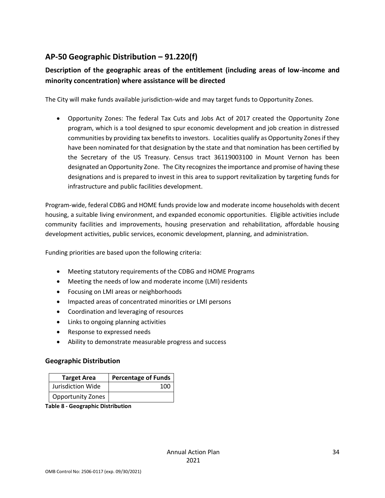### <span id="page-33-0"></span>**AP-50 Geographic Distribution – 91.220(f)**

### **Description of the geographic areas of the entitlement (including areas of low-income and minority concentration) where assistance will be directed**

The City will make funds available jurisdiction-wide and may target funds to Opportunity Zones.

• Opportunity Zones: The federal Tax Cuts and Jobs Act of 2017 created the Opportunity Zone program, which is a tool designed to spur economic development and job creation in distressed communities by providing tax benefits to investors. Localities qualify as Opportunity Zones if they have been nominated for that designation by the state and that nomination has been certified by the Secretary of the US Treasury. Census tract 36119003100 in Mount Vernon has been designated an Opportunity Zone. The City recognizes the importance and promise of having these designations and is prepared to invest in this area to support revitalization by targeting funds for infrastructure and public facilities development.

Program-wide, federal CDBG and HOME funds provide low and moderate income households with decent housing, a suitable living environment, and expanded economic opportunities. Eligible activities include community facilities and improvements, housing preservation and rehabilitation, affordable housing development activities, public services, economic development, planning, and administration.

Funding priorities are based upon the following criteria:

- Meeting statutory requirements of the CDBG and HOME Programs
- Meeting the needs of low and moderate income (LMI) residents
- Focusing on LMI areas or neighborhoods
- Impacted areas of concentrated minorities or LMI persons
- Coordination and leveraging of resources
- Links to ongoing planning activities
- Response to expressed needs
- Ability to demonstrate measurable progress and success

#### **Geographic Distribution**

| <b>Target Area</b>       | <b>Percentage of Funds</b> |
|--------------------------|----------------------------|
| Jurisdiction Wide        | 100                        |
| <b>Opportunity Zones</b> |                            |

**Table 8 - Geographic Distribution**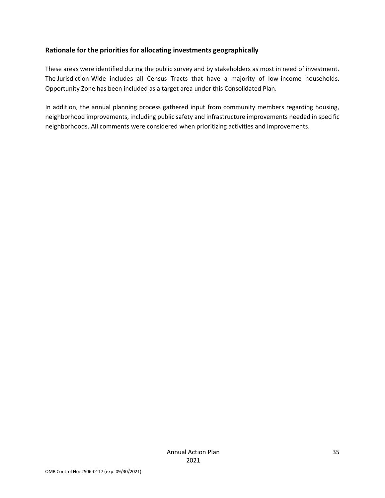#### **Rationale for the priorities for allocating investments geographically**

These areas were identified during the public survey and by stakeholders as most in need of investment. The Jurisdiction-Wide includes all Census Tracts that have a majority of low-income households. Opportunity Zone has been included as a target area under this Consolidated Plan.

In addition, the annual planning process gathered input from community members regarding housing, neighborhood improvements, including public safety and infrastructure improvements needed in specific neighborhoods. All comments were considered when prioritizing activities and improvements.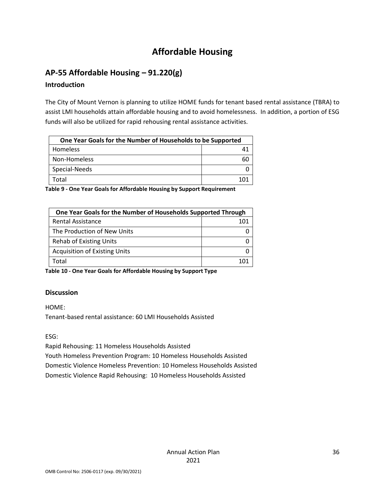# **Affordable Housing**

### <span id="page-35-1"></span><span id="page-35-0"></span>**AP-55 Affordable Housing – 91.220(g)**

### **Introduction**

The City of Mount Vernon is planning to utilize HOME funds for tenant based rental assistance (TBRA) to assist LMI households attain affordable housing and to avoid homelessness. In addition, a portion of ESG funds will also be utilized for rapid rehousing rental assistance activities.

| One Year Goals for the Number of Households to be Supported |  |  |
|-------------------------------------------------------------|--|--|
| <b>Homeless</b>                                             |  |  |
| Non-Homeless                                                |  |  |
| Special-Needs                                               |  |  |
| Total                                                       |  |  |

**Table 9 - One Year Goals for Affordable Housing by Support Requirement**

| One Year Goals for the Number of Households Supported Through |     |
|---------------------------------------------------------------|-----|
| <b>Rental Assistance</b>                                      | 101 |
| The Production of New Units                                   |     |
| <b>Rehab of Existing Units</b>                                |     |
| <b>Acquisition of Existing Units</b>                          |     |
| Total                                                         |     |

**Table 10 - One Year Goals for Affordable Housing by Support Type**

### **Discussion**

HOME:

Tenant-based rental assistance: 60 LMI Households Assisted

ESG:

Rapid Rehousing: 11 Homeless Households Assisted

Youth Homeless Prevention Program: 10 Homeless Households Assisted Domestic Violence Homeless Prevention: 10 Homeless Households Assisted Domestic Violence Rapid Rehousing: 10 Homeless Households Assisted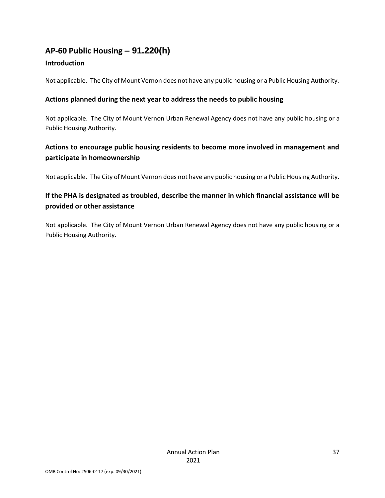### <span id="page-36-0"></span>**AP-60 Public Housing** *–* **91.220(h)**

### **Introduction**

Not applicable. The City of Mount Vernon does not have any public housing or a Public Housing Authority.

### **Actions planned during the next year to address the needs to public housing**

Not applicable. The City of Mount Vernon Urban Renewal Agency does not have any public housing or a Public Housing Authority.

### **Actions to encourage public housing residents to become more involved in management and participate in homeownership**

Not applicable. The City of Mount Vernon does not have any public housing or a Public Housing Authority.

### **If the PHA is designated as troubled, describe the manner in which financial assistance will be provided or other assistance**

Not applicable. The City of Mount Vernon Urban Renewal Agency does not have any public housing or a Public Housing Authority.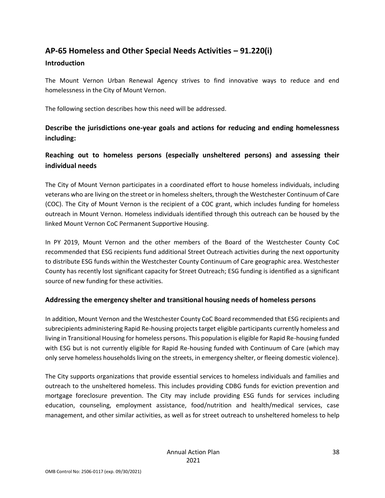### <span id="page-37-0"></span>**AP-65 Homeless and Other Special Needs Activities – 91.220(i)**

#### **Introduction**

The Mount Vernon Urban Renewal Agency strives to find innovative ways to reduce and end homelessness in the City of Mount Vernon.

The following section describes how this need will be addressed.

**Describe the jurisdictions one-year goals and actions for reducing and ending homelessness including:**

### **Reaching out to homeless persons (especially unsheltered persons) and assessing their individual needs**

The City of Mount Vernon participates in a coordinated effort to house homeless individuals, including veterans who are living on the street or in homeless shelters, through the Westchester Continuum of Care (COC). The City of Mount Vernon is the recipient of a COC grant, which includes funding for homeless outreach in Mount Vernon. Homeless individuals identified through this outreach can be housed by the linked Mount Vernon CoC Permanent Supportive Housing.

In PY 2019, Mount Vernon and the other members of the Board of the Westchester County CoC recommended that ESG recipients fund additional Street Outreach activities during the next opportunity to distribute ESG funds within the Westchester County Continuum of Care geographic area. Westchester County has recently lost significant capacity for Street Outreach; ESG funding is identified as a significant source of new funding for these activities.

#### **Addressing the emergency shelter and transitional housing needs of homeless persons**

In addition, Mount Vernon and the Westchester County CoC Board recommended that ESG recipients and subrecipients administering Rapid Re-housing projects target eligible participants currently homeless and living in Transitional Housing for homeless persons. This population is eligible for Rapid Re-housing funded with ESG but is not currently eligible for Rapid Re-housing funded with Continuum of Care (which may only serve homeless households living on the streets, in emergency shelter, or fleeing domestic violence).

The City supports organizations that provide essential services to homeless individuals and families and outreach to the unsheltered homeless. This includes providing CDBG funds for eviction prevention and mortgage foreclosure prevention. The City may include providing ESG funds for services including education, counseling, employment assistance, food/nutrition and health/medical services, case management, and other similar activities, as well as for street outreach to unsheltered homeless to help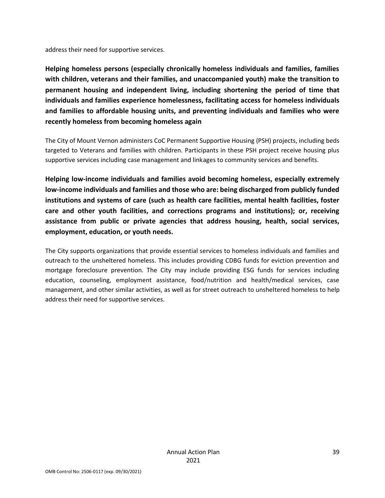address their need for supportive services.

**Helping homeless persons (especially chronically homeless individuals and families, families with children, veterans and their families, and unaccompanied youth) make the transition to permanent housing and independent living, including shortening the period of time that individuals and families experience homelessness, facilitating access for homeless individuals and families to affordable housing units, and preventing individuals and families who were recently homeless from becoming homeless again**

The City of Mount Vernon administers CoC Permanent Supportive Housing (PSH) projects, including beds targeted to Veterans and families with children. Participants in these PSH project receive housing plus supportive services including case management and linkages to community services and benefits.

**Helping low-income individuals and families avoid becoming homeless, especially extremely low-income individuals and families and those who are: being discharged from publicly funded institutions and systems of care (such as health care facilities, mental health facilities, foster care and other youth facilities, and corrections programs and institutions); or, receiving assistance from public or private agencies that address housing, health, social services, employment, education, or youth needs.**

The City supports organizations that provide essential services to homeless individuals and families and outreach to the unsheltered homeless. This includes providing CDBG funds for eviction prevention and mortgage foreclosure prevention. The City may include providing ESG funds for services including education, counseling, employment assistance, food/nutrition and health/medical services, case management, and other similar activities, as well as for street outreach to unsheltered homeless to help address their need for supportive services.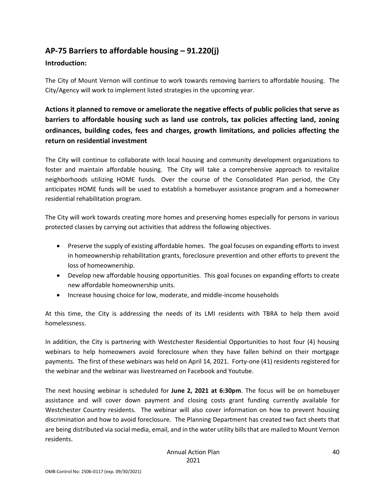### <span id="page-39-0"></span>**AP-75 Barriers to affordable housing – 91.220(j)**

#### **Introduction:**

The City of Mount Vernon will continue to work towards removing barriers to affordable housing. The City/Agency will work to implement listed strategies in the upcoming year.

**Actions it planned to remove or ameliorate the negative effects of public policies that serve as barriers to affordable housing such as land use controls, tax policies affecting land, zoning ordinances, building codes, fees and charges, growth limitations, and policies affecting the return on residential investment**

The City will continue to collaborate with local housing and community development organizations to foster and maintain affordable housing. The City will take a comprehensive approach to revitalize neighborhoods utilizing HOME funds. Over the course of the Consolidated Plan period, the City anticipates HOME funds will be used to establish a homebuyer assistance program and a homeowner residential rehabilitation program.

The City will work towards creating more homes and preserving homes especially for persons in various protected classes by carrying out activities that address the following objectives.

- Preserve the supply of existing affordable homes. The goal focuses on expanding efforts to invest in homeownership rehabilitation grants, foreclosure prevention and other efforts to prevent the loss of homeownership.
- Develop new affordable housing opportunities. This goal focuses on expanding efforts to create new affordable homeownership units.
- Increase housing choice for low, moderate, and middle-income households

At this time, the City is addressing the needs of its LMI residents with TBRA to help them avoid homelessness.

In addition, the City is partnering with Westchester Residential Opportunities to host four (4) housing webinars to help homeowners avoid foreclosure when they have fallen behind on their mortgage payments. The first of these webinars was held on April 14, 2021. Forty-one (41) residents registered for the webinar and the webinar was livestreamed on Facebook and Youtube.

The next housing webinar is scheduled for **June 2, 2021 at 6:30pm**. The focus will be on homebuyer assistance and will cover down payment and closing costs grant funding currently available for Westchester Country residents. The webinar will also cover information on how to prevent housing discrimination and how to avoid foreclosure. The Planning Department has created two fact sheets that are being distributed via social media, email, and in the water utility bills that are mailed to Mount Vernon residents.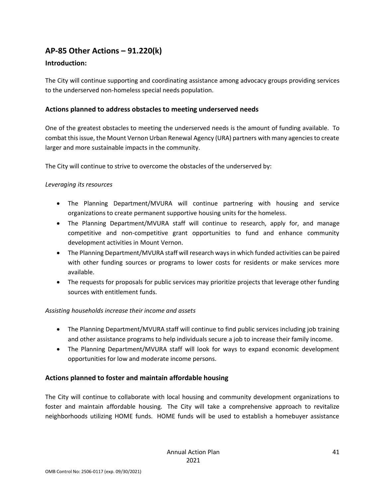### <span id="page-40-0"></span>**AP-85 Other Actions – 91.220(k)**

#### **Introduction:**

The City will continue supporting and coordinating assistance among advocacy groups providing services to the underserved non-homeless special needs population.

#### **Actions planned to address obstacles to meeting underserved needs**

One of the greatest obstacles to meeting the underserved needs is the amount of funding available. To combat this issue, the Mount Vernon Urban Renewal Agency (URA) partners with many agencies to create larger and more sustainable impacts in the community.

The City will continue to strive to overcome the obstacles of the underserved by:

#### *Leveraging its resources*

- The Planning Department/MVURA will continue partnering with housing and service organizations to create permanent supportive housing units for the homeless.
- The Planning Department/MVURA staff will continue to research, apply for, and manage competitive and non-competitive grant opportunities to fund and enhance community development activities in Mount Vernon.
- The Planning Department/MVURA staff will research ways in which funded activities can be paired with other funding sources or programs to lower costs for residents or make services more available.
- The requests for proposals for public services may prioritize projects that leverage other funding sources with entitlement funds.

#### *Assisting households increase their income and assets*

- The Planning Department/MVURA staff will continue to find public services including job training and other assistance programs to help individuals secure a job to increase their family income.
- The Planning Department/MVURA staff will look for ways to expand economic development opportunities for low and moderate income persons.

#### **Actions planned to foster and maintain affordable housing**

The City will continue to collaborate with local housing and community development organizations to foster and maintain affordable housing. The City will take a comprehensive approach to revitalize neighborhoods utilizing HOME funds. HOME funds will be used to establish a homebuyer assistance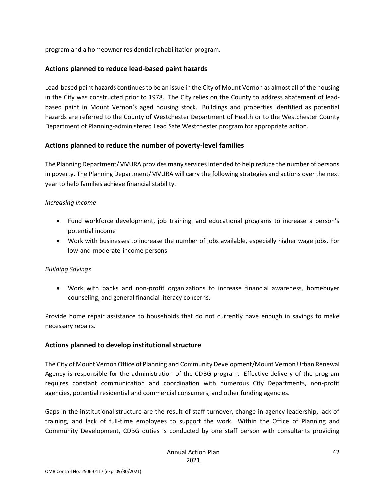program and a homeowner residential rehabilitation program.

#### **Actions planned to reduce lead-based paint hazards**

Lead-based paint hazards continues to be an issue in the City of Mount Vernon as almost all of the housing in the City was constructed prior to 1978. The City relies on the County to address abatement of leadbased paint in Mount Vernon's aged housing stock. Buildings and properties identified as potential hazards are referred to the County of Westchester Department of Health or to the Westchester County Department of Planning-administered Lead Safe Westchester program for appropriate action.

#### **Actions planned to reduce the number of poverty-level families**

The Planning Department/MVURA provides many services intended to help reduce the number of persons in poverty. The Planning Department/MVURA will carry the following strategies and actions over the next year to help families achieve financial stability.

#### *Increasing income*

- Fund workforce development, job training, and educational programs to increase a person's potential income
- Work with businesses to increase the number of jobs available, especially higher wage jobs. For low-and-moderate-income persons

#### *Building Savings*

• Work with banks and non-profit organizations to increase financial awareness, homebuyer counseling, and general financial literacy concerns.

Provide home repair assistance to households that do not currently have enough in savings to make necessary repairs.

#### **Actions planned to develop institutional structure**

The City of Mount Vernon Office of Planning and Community Development/Mount Vernon Urban Renewal Agency is responsible for the administration of the CDBG program. Effective delivery of the program requires constant communication and coordination with numerous City Departments, non-profit agencies, potential residential and commercial consumers, and other funding agencies.

Gaps in the institutional structure are the result of staff turnover, change in agency leadership, lack of training, and lack of full-time employees to support the work. Within the Office of Planning and Community Development, CDBG duties is conducted by one staff person with consultants providing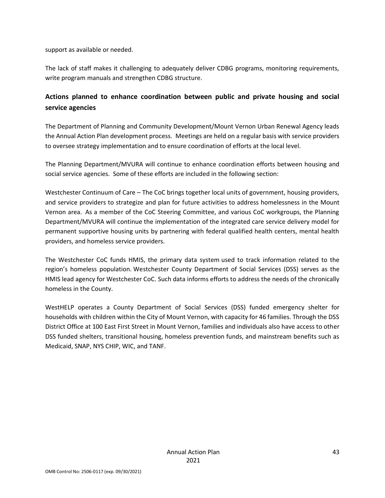support as available or needed.

The lack of staff makes it challenging to adequately deliver CDBG programs, monitoring requirements, write program manuals and strengthen CDBG structure.

### **Actions planned to enhance coordination between public and private housing and social service agencies**

The Department of Planning and Community Development/Mount Vernon Urban Renewal Agency leads the Annual Action Plan development process. Meetings are held on a regular basis with service providers to oversee strategy implementation and to ensure coordination of efforts at the local level.

The Planning Department/MVURA will continue to enhance coordination efforts between housing and social service agencies. Some of these efforts are included in the following section:

Westchester Continuum of Care – The CoC brings together local units of government, housing providers, and service providers to strategize and plan for future activities to address homelessness in the Mount Vernon area. As a member of the CoC Steering Committee, and various CoC workgroups, the Planning Department/MVURA will continue the implementation of the integrated care service delivery model for permanent supportive housing units by partnering with federal qualified health centers, mental health providers, and homeless service providers.

The Westchester CoC funds HMIS, the primary data system used to track information related to the region's homeless population. Westchester County Department of Social Services (DSS) serves as the HMIS lead agency for Westchester CoC. Such data informs efforts to address the needs of the chronically homeless in the County.

WestHELP operates a County Department of Social Services (DSS) funded emergency shelter for households with children within the City of Mount Vernon, with capacity for 46 families. Through the DSS District Office at 100 East First Street in Mount Vernon, families and individuals also have access to other DSS funded shelters, transitional housing, homeless prevention funds, and mainstream benefits such as Medicaid, SNAP, NYS CHIP, WIC, and TANF.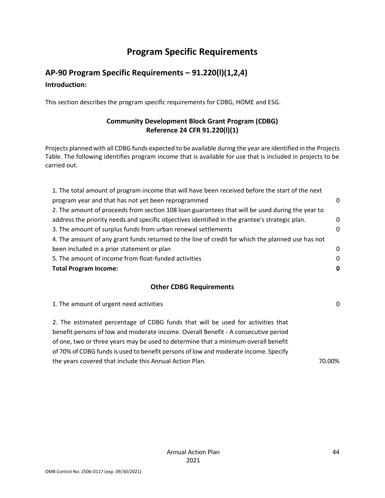# **Program Specific Requirements**

# <span id="page-43-1"></span><span id="page-43-0"></span>**AP-90 Program Specific Requirements – 91.220(l)(1,2,4) Introduction:**

This section describes the program specific requirements for CDBG, HOME and ESG.

### **Community Development Block Grant Program (CDBG) Reference 24 CFR 91.220(l)(1)**

Projects planned with all CDBG funds expected to be available during the year are identified in the Projects Table. The following identifies program income that is available for use that is included in projects to be carried out.

| 1. The total amount of program income that will have been received before the start of the next   |          |
|---------------------------------------------------------------------------------------------------|----------|
| program year and that has not yet been reprogrammed                                               | 0        |
| 2. The amount of proceeds from section 108 loan guarantees that will be used during the year to   |          |
| address the priority needs and specific objectives identified in the grantee's strategic plan.    | 0        |
| 3. The amount of surplus funds from urban renewal settlements                                     | 0        |
| 4. The amount of any grant funds returned to the line of credit for which the planned use has not |          |
| been included in a prior statement or plan                                                        | 0        |
| 5. The amount of income from float-funded activities                                              | $\Omega$ |
| <b>Total Program Income:</b>                                                                      | 0        |

### **Other CDBG Requirements**

| 1. The amount of urgent need activities                                             | $\Omega$ |
|-------------------------------------------------------------------------------------|----------|
| 2. The estimated percentage of CDBG funds that will be used for activities that     |          |
| benefit persons of low and moderate income. Overall Benefit - A consecutive period  |          |
| of one, two or three years may be used to determine that a minimum overall benefit  |          |
| of 70% of CDBG funds is used to benefit persons of low and moderate income. Specify |          |
| the years covered that include this Annual Action Plan.                             | 70.00%   |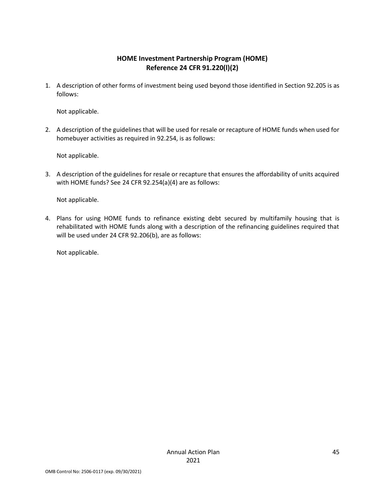### **HOME Investment Partnership Program (HOME) Reference 24 CFR 91.220(l)(2)**

1. A description of other forms of investment being used beyond those identified in Section 92.205 is as follows:

Not applicable.

2. A description of the guidelines that will be used for resale or recapture of HOME funds when used for homebuyer activities as required in 92.254, is as follows:

Not applicable.

3. A description of the guidelines for resale or recapture that ensures the affordability of units acquired with HOME funds? See 24 CFR 92.254(a)(4) are as follows:

Not applicable.

4. Plans for using HOME funds to refinance existing debt secured by multifamily housing that is rehabilitated with HOME funds along with a description of the refinancing guidelines required that will be used under 24 CFR 92.206(b), are as follows:

Not applicable.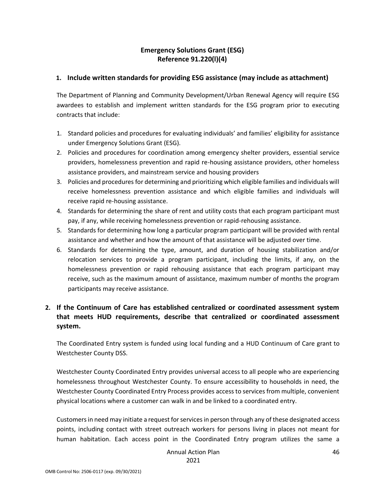### **Emergency Solutions Grant (ESG) Reference 91.220(l)(4)**

#### **1. Include written standards for providing ESG assistance (may include as attachment)**

The Department of Planning and Community Development/Urban Renewal Agency will require ESG awardees to establish and implement written standards for the ESG program prior to executing contracts that include:

- 1. Standard policies and procedures for evaluating individuals' and families' eligibility for assistance under Emergency Solutions Grant (ESG).
- 2. Policies and procedures for coordination among emergency shelter providers, essential service providers, homelessness prevention and rapid re-housing assistance providers, other homeless assistance providers, and mainstream service and housing providers
- 3. Policies and procedures for determining and prioritizing which eligible families and individuals will receive homelessness prevention assistance and which eligible families and individuals will receive rapid re-housing assistance.
- 4. Standards for determining the share of rent and utility costs that each program participant must pay, if any, while receiving homelessness prevention or rapid-rehousing assistance.
- 5. Standards for determining how long a particular program participant will be provided with rental assistance and whether and how the amount of that assistance will be adjusted over time.
- 6. Standards for determining the type, amount, and duration of housing stabilization and/or relocation services to provide a program participant, including the limits, if any, on the homelessness prevention or rapid rehousing assistance that each program participant may receive, such as the maximum amount of assistance, maximum number of months the program participants may receive assistance.

### **2. If the Continuum of Care has established centralized or coordinated assessment system that meets HUD requirements, describe that centralized or coordinated assessment system.**

The Coordinated Entry system is funded using local funding and a HUD Continuum of Care grant to Westchester County DSS.

Westchester County Coordinated Entry provides universal access to all people who are experiencing homelessness throughout Westchester County. To ensure accessibility to households in need, the Westchester County Coordinated Entry Process provides access to services from multiple, convenient physical locations where a customer can walk in and be linked to a coordinated entry.

Customers in need may initiate a request for services in person through any of these designated access points, including contact with street outreach workers for persons living in places not meant for human habitation. Each access point in the Coordinated Entry program utilizes the same a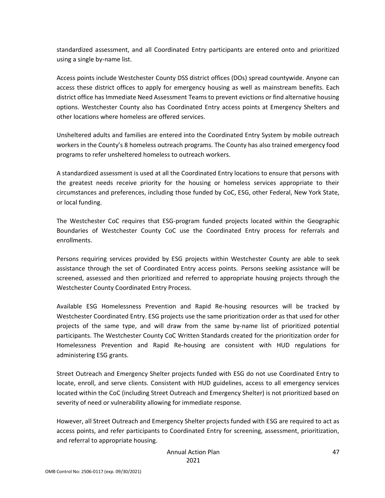standardized assessment, and all Coordinated Entry participants are entered onto and prioritized using a single by-name list.

Access points include Westchester County DSS district offices (DOs) spread countywide. Anyone can access these district offices to apply for emergency housing as well as mainstream benefits. Each district office has Immediate Need Assessment Teams to prevent evictions or find alternative housing options. Westchester County also has Coordinated Entry access points at Emergency Shelters and other locations where homeless are offered services.

Unsheltered adults and families are entered into the Coordinated Entry System by mobile outreach workers in the County's 8 homeless outreach programs. The County has also trained emergency food programs to refer unsheltered homeless to outreach workers.

A standardized assessment is used at all the Coordinated Entry locations to ensure that persons with the greatest needs receive priority for the housing or homeless services appropriate to their circumstances and preferences, including those funded by CoC, ESG, other Federal, New York State, or local funding.

The Westchester CoC requires that ESG-program funded projects located within the Geographic Boundaries of Westchester County CoC use the Coordinated Entry process for referrals and enrollments.

Persons requiring services provided by ESG projects within Westchester County are able to seek assistance through the set of Coordinated Entry access points. Persons seeking assistance will be screened, assessed and then prioritized and referred to appropriate housing projects through the Westchester County Coordinated Entry Process.

Available ESG Homelessness Prevention and Rapid Re-housing resources will be tracked by Westchester Coordinated Entry. ESG projects use the same prioritization order as that used for other projects of the same type, and will draw from the same by-name list of prioritized potential participants. The Westchester County CoC Written Standards created for the prioritization order for Homelessness Prevention and Rapid Re-housing are consistent with HUD regulations for administering ESG grants.

Street Outreach and Emergency Shelter projects funded with ESG do not use Coordinated Entry to locate, enroll, and serve clients. Consistent with HUD guidelines, access to all emergency services located within the CoC (including Street Outreach and Emergency Shelter) is not prioritized based on severity of need or vulnerability allowing for immediate response.

However, all Street Outreach and Emergency Shelter projects funded with ESG are required to act as access points, and refer participants to Coordinated Entry for screening, assessment, prioritization, and referral to appropriate housing.